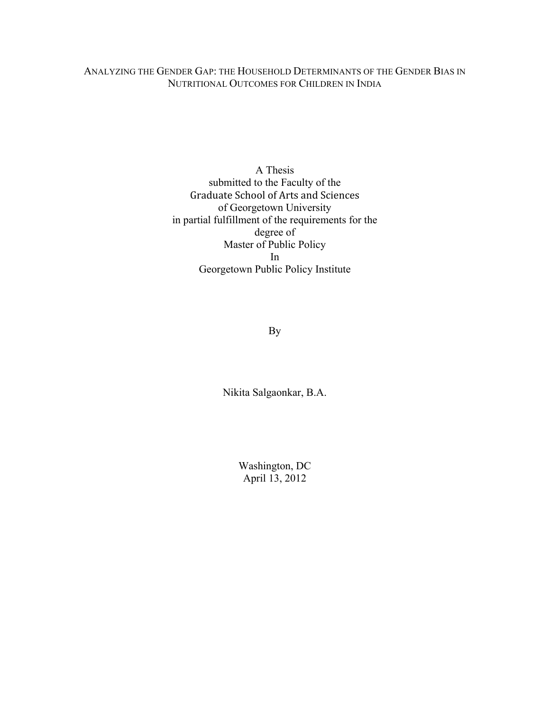## ANALYZING THE GENDER GAP: THE HOUSEHOLD DETERMINANTS OF THE GENDER BIAS IN NUTRITIONAL OUTCOMES FOR CHILDREN IN INDIA

A Thesis submitted to the Faculty of the Graduate
School
of
Arts
and
Sciences of Georgetown University in partial fulfillment of the requirements for the degree of Master of Public Policy In Georgetown Public Policy Institute

By

Nikita Salgaonkar, B.A.

Washington, DC April 13, 2012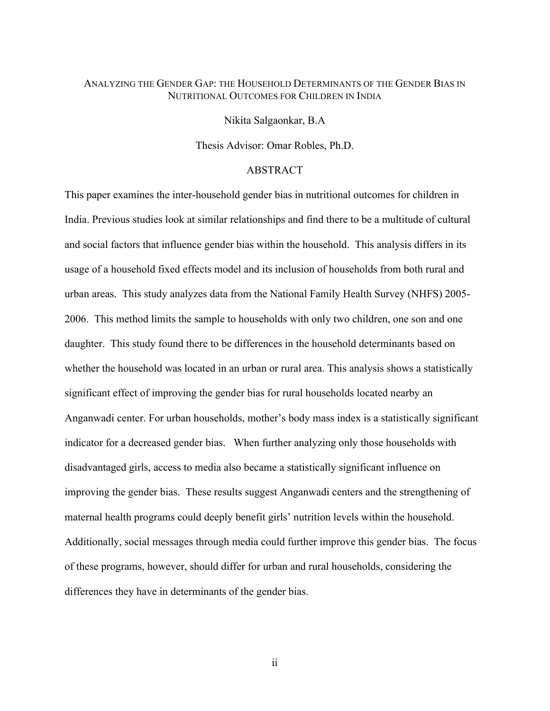## ANALYZING THE GENDER GAP: THE HOUSEHOLD DETERMINANTS OF THE GENDER BIAS IN NUTRITIONAL OUTCOMES FOR CHILDREN IN INDIA

Nikita Salgaonkar, B.A

Thesis Advisor: Omar Robles, Ph.D.

### ABSTRACT

This paper examines the inter-household gender bias in nutritional outcomes for children in India. Previous studies look at similar relationships and find there to be a multitude of cultural and social factors that influence gender bias within the household. This analysis differs in its usage of a household fixed effects model and its inclusion of households from both rural and urban areas. This study analyzes data from the National Family Health Survey (NHFS) 2005- 2006. This method limits the sample to households with only two children, one son and one daughter. This study found there to be differences in the household determinants based on whether the household was located in an urban or rural area. This analysis shows a statistically significant effect of improving the gender bias for rural households located nearby an Anganwadi center. For urban households, mother's body mass index is a statistically significant indicator for a decreased gender bias. When further analyzing only those households with disadvantaged girls, access to media also became a statistically significant influence on improving the gender bias. These results suggest Anganwadi centers and the strengthening of maternal health programs could deeply benefit girls' nutrition levels within the household. Additionally, social messages through media could further improve this gender bias. The focus of these programs, however, should differ for urban and rural households, considering the differences they have in determinants of the gender bias.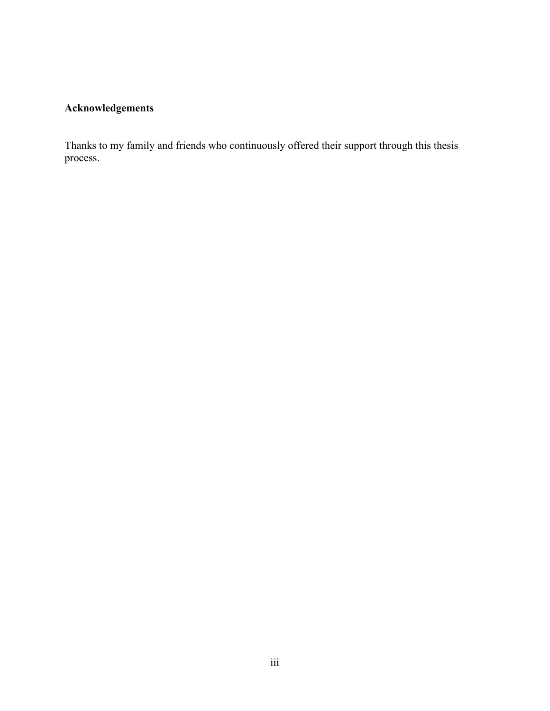# **Acknowledgements**

Thanks to my family and friends who continuously offered their support through this thesis process.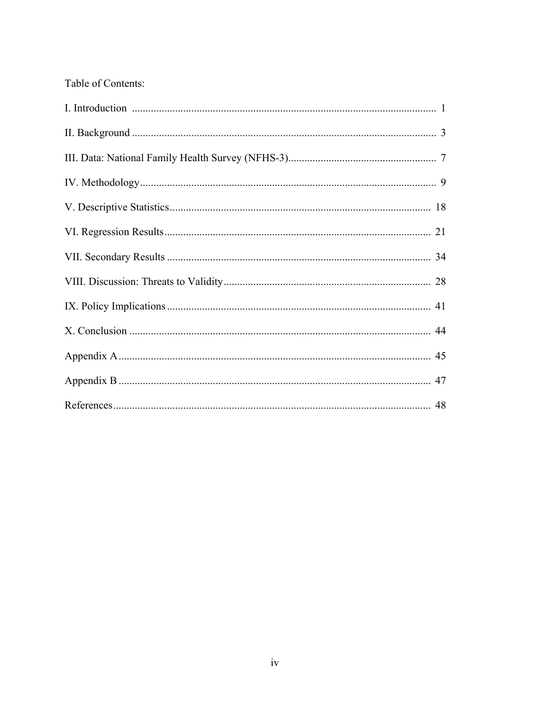# Table of Contents: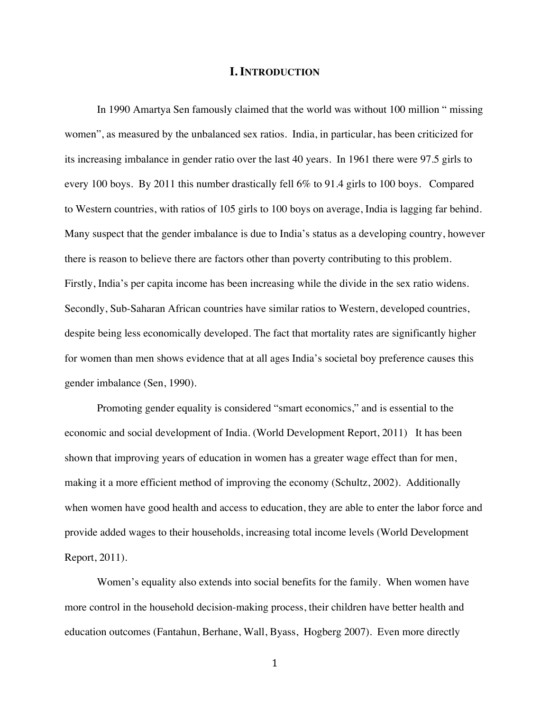### **I. INTRODUCTION**

In 1990 Amartya Sen famously claimed that the world was without 100 million " missing women", as measured by the unbalanced sex ratios. India, in particular, has been criticized for its increasing imbalance in gender ratio over the last 40 years. In 1961 there were 97.5 girls to every 100 boys. By 2011 this number drastically fell 6% to 91.4 girls to 100 boys. Compared to Western countries, with ratios of 105 girls to 100 boys on average, India is lagging far behind. Many suspect that the gender imbalance is due to India's status as a developing country, however there is reason to believe there are factors other than poverty contributing to this problem. Firstly, India's per capita income has been increasing while the divide in the sex ratio widens. Secondly, Sub-Saharan African countries have similar ratios to Western, developed countries, despite being less economically developed. The fact that mortality rates are significantly higher for women than men shows evidence that at all ages India's societal boy preference causes this gender imbalance (Sen, 1990).

Promoting gender equality is considered "smart economics," and is essential to the economic and social development of India. (World Development Report, 2011) It has been shown that improving years of education in women has a greater wage effect than for men, making it a more efficient method of improving the economy (Schultz, 2002). Additionally when women have good health and access to education, they are able to enter the labor force and provide added wages to their households, increasing total income levels (World Development Report, 2011).

Women's equality also extends into social benefits for the family. When women have more control in the household decision-making process, their children have better health and education outcomes (Fantahun, Berhane, Wall, Byass, Hogberg 2007). Even more directly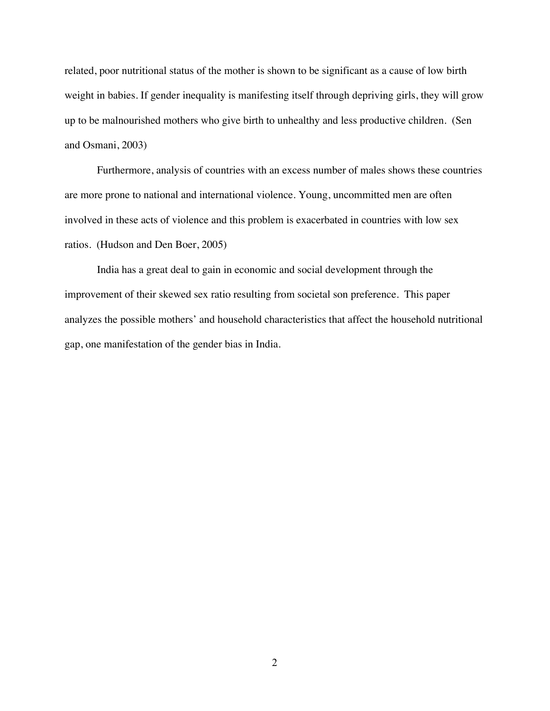related, poor nutritional status of the mother is shown to be significant as a cause of low birth weight in babies. If gender inequality is manifesting itself through depriving girls, they will grow up to be malnourished mothers who give birth to unhealthy and less productive children. (Sen and Osmani, 2003)

Furthermore, analysis of countries with an excess number of males shows these countries are more prone to national and international violence. Young, uncommitted men are often involved in these acts of violence and this problem is exacerbated in countries with low sex ratios. (Hudson and Den Boer, 2005)

India has a great deal to gain in economic and social development through the improvement of their skewed sex ratio resulting from societal son preference. This paper analyzes the possible mothers' and household characteristics that affect the household nutritional gap, one manifestation of the gender bias in India.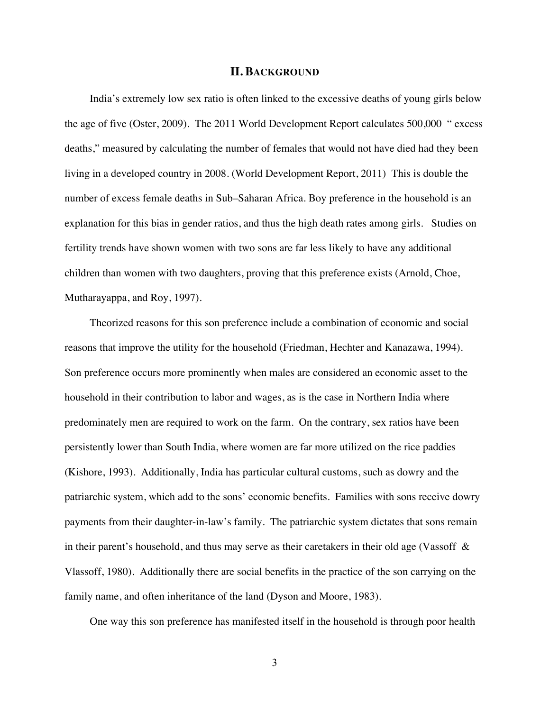### **II. BACKGROUND**

India's extremely low sex ratio is often linked to the excessive deaths of young girls below the age of five (Oster, 2009). The 2011 World Development Report calculates 500,000 " excess deaths," measured by calculating the number of females that would not have died had they been living in a developed country in 2008. (World Development Report, 2011) This is double the number of excess female deaths in Sub–Saharan Africa. Boy preference in the household is an explanation for this bias in gender ratios, and thus the high death rates among girls. Studies on fertility trends have shown women with two sons are far less likely to have any additional children than women with two daughters, proving that this preference exists (Arnold, Choe, Mutharayappa, and Roy, 1997).

Theorized reasons for this son preference include a combination of economic and social reasons that improve the utility for the household (Friedman, Hechter and Kanazawa, 1994). Son preference occurs more prominently when males are considered an economic asset to the household in their contribution to labor and wages, as is the case in Northern India where predominately men are required to work on the farm. On the contrary, sex ratios have been persistently lower than South India, where women are far more utilized on the rice paddies (Kishore, 1993). Additionally, India has particular cultural customs, such as dowry and the patriarchic system, which add to the sons' economic benefits. Families with sons receive dowry payments from their daughter-in-law's family. The patriarchic system dictates that sons remain in their parent's household, and thus may serve as their caretakers in their old age (Vassoff  $\&$ Vlassoff, 1980). Additionally there are social benefits in the practice of the son carrying on the family name, and often inheritance of the land (Dyson and Moore, 1983).

One way this son preference has manifested itself in the household is through poor health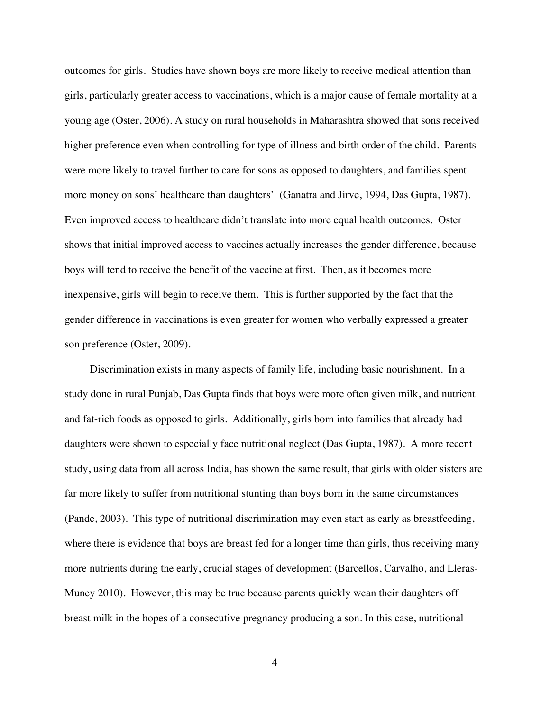outcomes for girls. Studies have shown boys are more likely to receive medical attention than girls, particularly greater access to vaccinations, which is a major cause of female mortality at a young age (Oster, 2006). A study on rural households in Maharashtra showed that sons received higher preference even when controlling for type of illness and birth order of the child. Parents were more likely to travel further to care for sons as opposed to daughters, and families spent more money on sons' healthcare than daughters' (Ganatra and Jirve, 1994, Das Gupta, 1987). Even improved access to healthcare didn't translate into more equal health outcomes. Oster shows that initial improved access to vaccines actually increases the gender difference, because boys will tend to receive the benefit of the vaccine at first. Then, as it becomes more inexpensive, girls will begin to receive them. This is further supported by the fact that the gender difference in vaccinations is even greater for women who verbally expressed a greater son preference (Oster, 2009).

Discrimination exists in many aspects of family life, including basic nourishment. In a study done in rural Punjab, Das Gupta finds that boys were more often given milk, and nutrient and fat-rich foods as opposed to girls. Additionally, girls born into families that already had daughters were shown to especially face nutritional neglect (Das Gupta, 1987). A more recent study, using data from all across India, has shown the same result, that girls with older sisters are far more likely to suffer from nutritional stunting than boys born in the same circumstances (Pande, 2003). This type of nutritional discrimination may even start as early as breastfeeding, where there is evidence that boys are breast fed for a longer time than girls, thus receiving many more nutrients during the early, crucial stages of development (Barcellos, Carvalho, and Lleras-Muney 2010). However, this may be true because parents quickly wean their daughters off breast milk in the hopes of a consecutive pregnancy producing a son. In this case, nutritional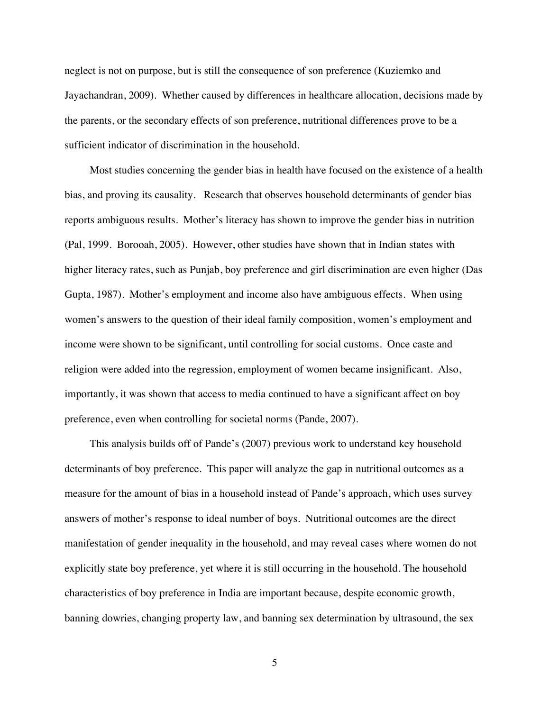neglect is not on purpose, but is still the consequence of son preference (Kuziemko and Jayachandran, 2009). Whether caused by differences in healthcare allocation, decisions made by the parents, or the secondary effects of son preference, nutritional differences prove to be a sufficient indicator of discrimination in the household.

Most studies concerning the gender bias in health have focused on the existence of a health bias, and proving its causality. Research that observes household determinants of gender bias reports ambiguous results. Mother's literacy has shown to improve the gender bias in nutrition (Pal, 1999. Borooah, 2005). However, other studies have shown that in Indian states with higher literacy rates, such as Punjab, boy preference and girl discrimination are even higher (Das Gupta, 1987). Mother's employment and income also have ambiguous effects. When using women's answers to the question of their ideal family composition, women's employment and income were shown to be significant, until controlling for social customs. Once caste and religion were added into the regression, employment of women became insignificant. Also, importantly, it was shown that access to media continued to have a significant affect on boy preference, even when controlling for societal norms (Pande, 2007).

This analysis builds off of Pande's (2007) previous work to understand key household determinants of boy preference. This paper will analyze the gap in nutritional outcomes as a measure for the amount of bias in a household instead of Pande's approach, which uses survey answers of mother's response to ideal number of boys. Nutritional outcomes are the direct manifestation of gender inequality in the household, and may reveal cases where women do not explicitly state boy preference, yet where it is still occurring in the household. The household characteristics of boy preference in India are important because, despite economic growth, banning dowries, changing property law, and banning sex determination by ultrasound, the sex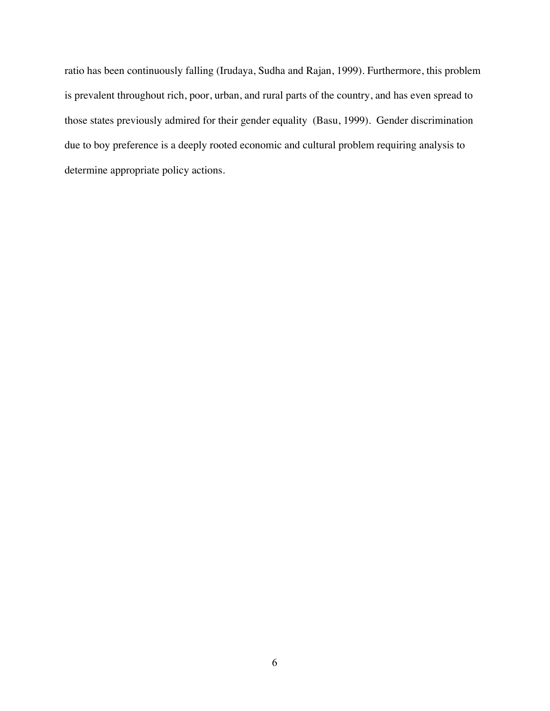ratio has been continuously falling (Irudaya, Sudha and Rajan, 1999). Furthermore, this problem is prevalent throughout rich, poor, urban, and rural parts of the country, and has even spread to those states previously admired for their gender equality (Basu, 1999). Gender discrimination due to boy preference is a deeply rooted economic and cultural problem requiring analysis to determine appropriate policy actions.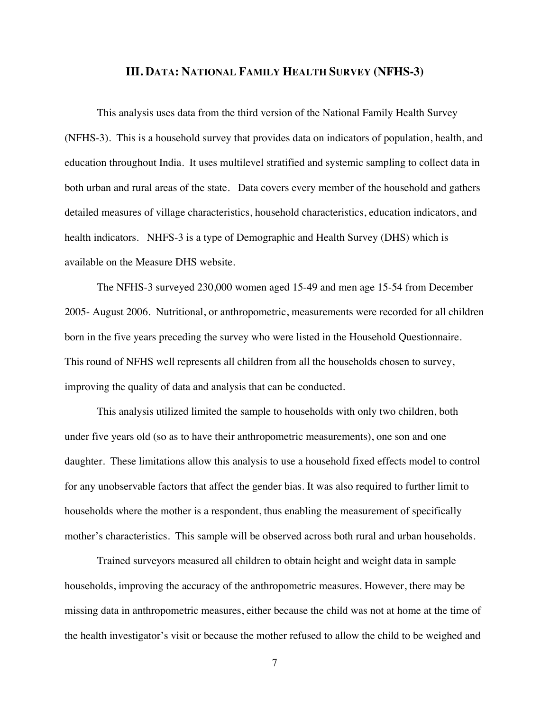### **III. DATA: NATIONAL FAMILY HEALTH SURVEY (NFHS-3)**

This analysis uses data from the third version of the National Family Health Survey (NFHS-3). This is a household survey that provides data on indicators of population, health, and education throughout India. It uses multilevel stratified and systemic sampling to collect data in both urban and rural areas of the state. Data covers every member of the household and gathers detailed measures of village characteristics, household characteristics, education indicators, and health indicators. NHFS-3 is a type of Demographic and Health Survey (DHS) which is available on the Measure DHS website.

The NFHS-3 surveyed 230,000 women aged 15-49 and men age 15-54 from December 2005- August 2006. Nutritional, or anthropometric, measurements were recorded for all children born in the five years preceding the survey who were listed in the Household Questionnaire. This round of NFHS well represents all children from all the households chosen to survey, improving the quality of data and analysis that can be conducted.

This analysis utilized limited the sample to households with only two children, both under five years old (so as to have their anthropometric measurements), one son and one daughter. These limitations allow this analysis to use a household fixed effects model to control for any unobservable factors that affect the gender bias. It was also required to further limit to households where the mother is a respondent, thus enabling the measurement of specifically mother's characteristics. This sample will be observed across both rural and urban households.

Trained surveyors measured all children to obtain height and weight data in sample households, improving the accuracy of the anthropometric measures. However, there may be missing data in anthropometric measures, either because the child was not at home at the time of the health investigator's visit or because the mother refused to allow the child to be weighed and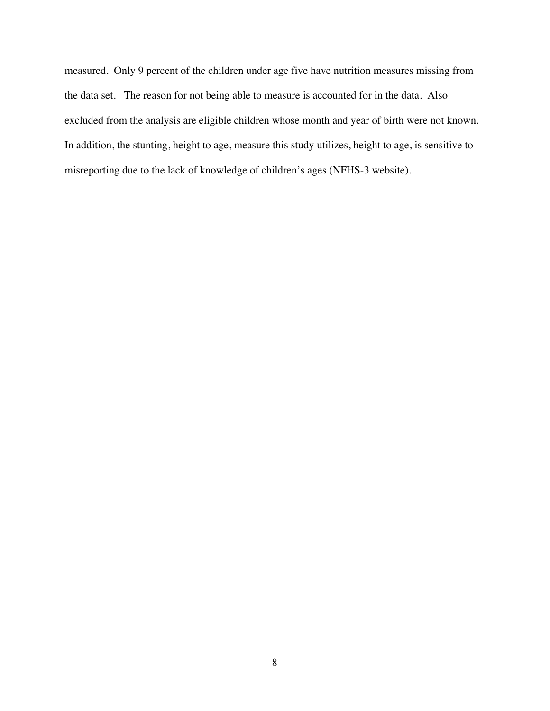measured. Only 9 percent of the children under age five have nutrition measures missing from the data set. The reason for not being able to measure is accounted for in the data. Also excluded from the analysis are eligible children whose month and year of birth were not known. In addition, the stunting, height to age, measure this study utilizes, height to age, is sensitive to misreporting due to the lack of knowledge of children's ages (NFHS-3 website).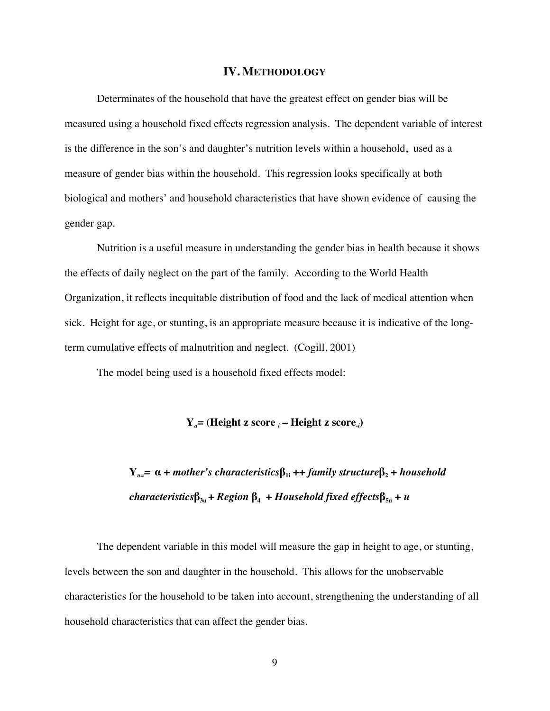#### **IV. METHODOLOGY**

Determinates of the household that have the greatest effect on gender bias will be measured using a household fixed effects regression analysis. The dependent variable of interest is the difference in the son's and daughter's nutrition levels within a household, used as a measure of gender bias within the household. This regression looks specifically at both biological and mothers' and household characteristics that have shown evidence of causing the gender gap.

Nutrition is a useful measure in understanding the gender bias in health because it shows the effects of daily neglect on the part of the family. According to the World Health Organization, it reflects inequitable distribution of food and the lack of medical attention when sick. Height for age, or stunting, is an appropriate measure because it is indicative of the longterm cumulative effects of malnutrition and neglect. (Cogill, 2001)

The model being used is a household fixed effects model:

**Y***u=* **(Height z score** *<sup>i</sup>* **– Height z score***-i* **)**

**Y**<sub>u=</sub> $\alpha$  + *mother's characteristics* $β_{1i}$  ++ *family structure* $β_2$  + *household characteristics***β3u +** *Region* **β4 +** *Household fixed effects***β5u +** *u*

The dependent variable in this model will measure the gap in height to age, or stunting, levels between the son and daughter in the household. This allows for the unobservable characteristics for the household to be taken into account, strengthening the understanding of all household characteristics that can affect the gender bias.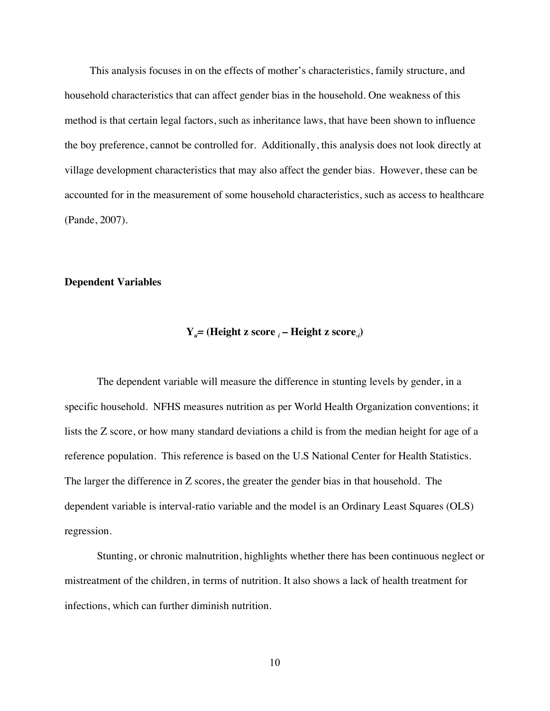This analysis focuses in on the effects of mother's characteristics, family structure, and household characteristics that can affect gender bias in the household. One weakness of this method is that certain legal factors, such as inheritance laws, that have been shown to influence the boy preference, cannot be controlled for. Additionally, this analysis does not look directly at village development characteristics that may also affect the gender bias. However, these can be accounted for in the measurement of some household characteristics, such as access to healthcare (Pande, 2007).

### **Dependent Variables**

## **Y***u=* **(Height z score** *<sup>i</sup>* **– Height z score***-i* **)**

The dependent variable will measure the difference in stunting levels by gender, in a specific household. NFHS measures nutrition as per World Health Organization conventions; it lists the Z score, or how many standard deviations a child is from the median height for age of a reference population. This reference is based on the U.S National Center for Health Statistics. The larger the difference in Z scores, the greater the gender bias in that household. The dependent variable is interval-ratio variable and the model is an Ordinary Least Squares (OLS) regression.

Stunting, or chronic malnutrition, highlights whether there has been continuous neglect or mistreatment of the children, in terms of nutrition. It also shows a lack of health treatment for infections, which can further diminish nutrition.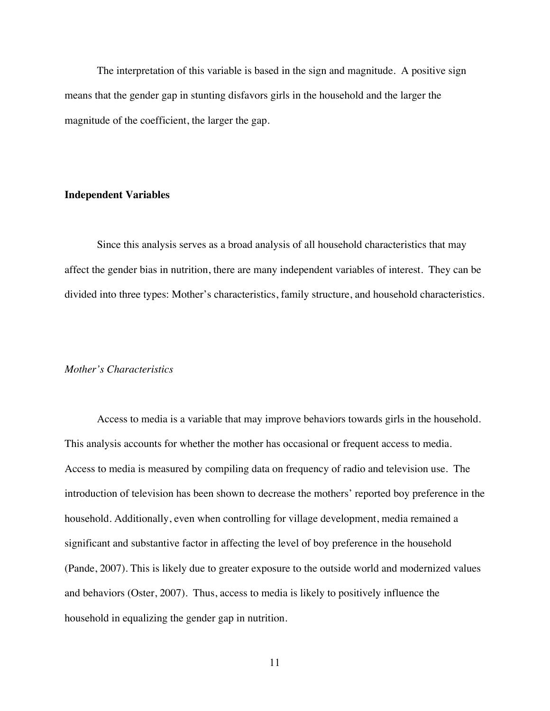The interpretation of this variable is based in the sign and magnitude. A positive sign means that the gender gap in stunting disfavors girls in the household and the larger the magnitude of the coefficient, the larger the gap.

### **Independent Variables**

Since this analysis serves as a broad analysis of all household characteristics that may affect the gender bias in nutrition, there are many independent variables of interest. They can be divided into three types: Mother's characteristics, family structure, and household characteristics.

### *Mother's Characteristics*

Access to media is a variable that may improve behaviors towards girls in the household. This analysis accounts for whether the mother has occasional or frequent access to media. Access to media is measured by compiling data on frequency of radio and television use. The introduction of television has been shown to decrease the mothers' reported boy preference in the household. Additionally, even when controlling for village development, media remained a significant and substantive factor in affecting the level of boy preference in the household (Pande, 2007). This is likely due to greater exposure to the outside world and modernized values and behaviors (Oster, 2007). Thus, access to media is likely to positively influence the household in equalizing the gender gap in nutrition.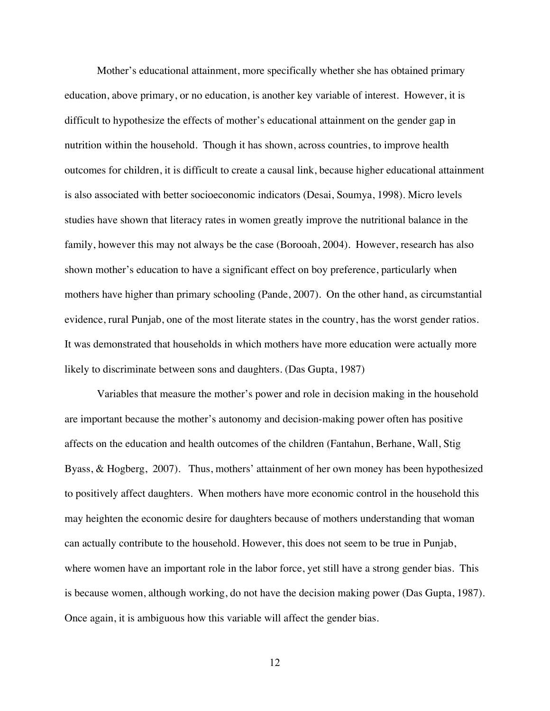Mother's educational attainment, more specifically whether she has obtained primary education, above primary, or no education, is another key variable of interest. However, it is difficult to hypothesize the effects of mother's educational attainment on the gender gap in nutrition within the household. Though it has shown, across countries, to improve health outcomes for children, it is difficult to create a causal link, because higher educational attainment is also associated with better socioeconomic indicators (Desai, Soumya, 1998). Micro levels studies have shown that literacy rates in women greatly improve the nutritional balance in the family, however this may not always be the case (Borooah, 2004). However, research has also shown mother's education to have a significant effect on boy preference, particularly when mothers have higher than primary schooling (Pande, 2007). On the other hand, as circumstantial evidence, rural Punjab, one of the most literate states in the country, has the worst gender ratios. It was demonstrated that households in which mothers have more education were actually more likely to discriminate between sons and daughters. (Das Gupta, 1987)

Variables that measure the mother's power and role in decision making in the household are important because the mother's autonomy and decision-making power often has positive affects on the education and health outcomes of the children (Fantahun, Berhane, Wall, Stig Byass, & Hogberg, 2007). Thus, mothers' attainment of her own money has been hypothesized to positively affect daughters. When mothers have more economic control in the household this may heighten the economic desire for daughters because of mothers understanding that woman can actually contribute to the household. However, this does not seem to be true in Punjab, where women have an important role in the labor force, yet still have a strong gender bias. This is because women, although working, do not have the decision making power (Das Gupta, 1987). Once again, it is ambiguous how this variable will affect the gender bias.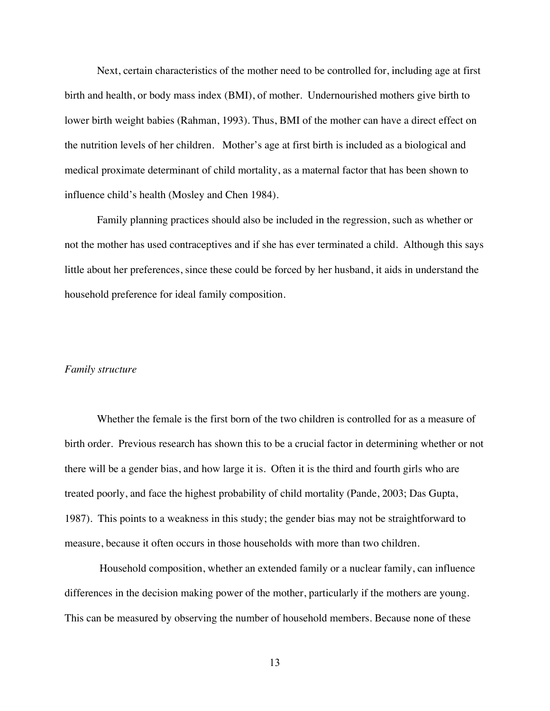Next, certain characteristics of the mother need to be controlled for, including age at first birth and health, or body mass index (BMI), of mother. Undernourished mothers give birth to lower birth weight babies (Rahman, 1993). Thus, BMI of the mother can have a direct effect on the nutrition levels of her children. Mother's age at first birth is included as a biological and medical proximate determinant of child mortality, as a maternal factor that has been shown to influence child's health (Mosley and Chen 1984).

Family planning practices should also be included in the regression, such as whether or not the mother has used contraceptives and if she has ever terminated a child. Although this says little about her preferences, since these could be forced by her husband, it aids in understand the household preference for ideal family composition.

#### *Family structure*

Whether the female is the first born of the two children is controlled for as a measure of birth order. Previous research has shown this to be a crucial factor in determining whether or not there will be a gender bias, and how large it is. Often it is the third and fourth girls who are treated poorly, and face the highest probability of child mortality (Pande, 2003; Das Gupta, 1987). This points to a weakness in this study; the gender bias may not be straightforward to measure, because it often occurs in those households with more than two children.

 Household composition, whether an extended family or a nuclear family, can influence differences in the decision making power of the mother, particularly if the mothers are young. This can be measured by observing the number of household members. Because none of these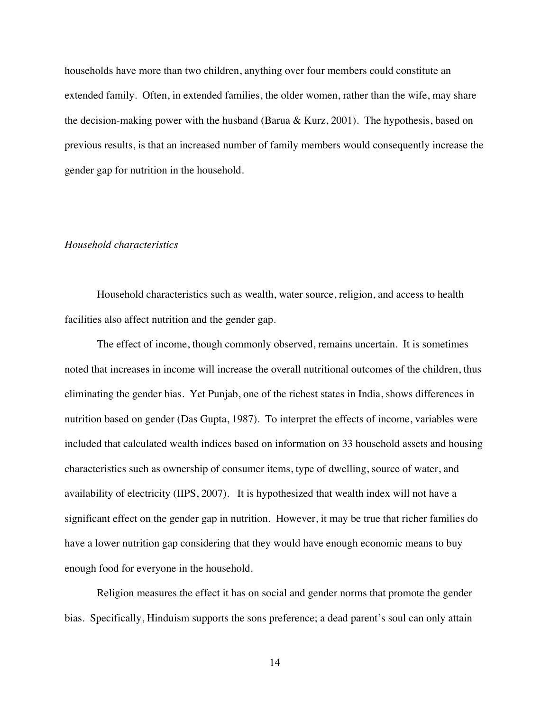households have more than two children, anything over four members could constitute an extended family. Often, in extended families, the older women, rather than the wife, may share the decision-making power with the husband (Barua & Kurz, 2001). The hypothesis, based on previous results, is that an increased number of family members would consequently increase the gender gap for nutrition in the household.

### *Household characteristics*

Household characteristics such as wealth, water source, religion, and access to health facilities also affect nutrition and the gender gap.

The effect of income, though commonly observed, remains uncertain. It is sometimes noted that increases in income will increase the overall nutritional outcomes of the children, thus eliminating the gender bias. Yet Punjab, one of the richest states in India, shows differences in nutrition based on gender (Das Gupta, 1987). To interpret the effects of income, variables were included that calculated wealth indices based on information on 33 household assets and housing characteristics such as ownership of consumer items, type of dwelling, source of water, and availability of electricity (IIPS, 2007). It is hypothesized that wealth index will not have a significant effect on the gender gap in nutrition. However, it may be true that richer families do have a lower nutrition gap considering that they would have enough economic means to buy enough food for everyone in the household.

Religion measures the effect it has on social and gender norms that promote the gender bias. Specifically, Hinduism supports the sons preference; a dead parent's soul can only attain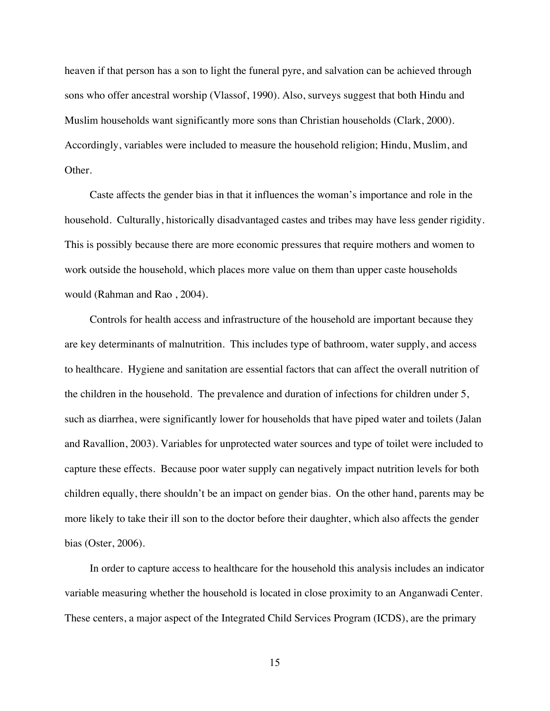heaven if that person has a son to light the funeral pyre, and salvation can be achieved through sons who offer ancestral worship (Vlassof, 1990). Also, surveys suggest that both Hindu and Muslim households want significantly more sons than Christian households (Clark, 2000). Accordingly, variables were included to measure the household religion; Hindu, Muslim, and Other.

Caste affects the gender bias in that it influences the woman's importance and role in the household. Culturally, historically disadvantaged castes and tribes may have less gender rigidity. This is possibly because there are more economic pressures that require mothers and women to work outside the household, which places more value on them than upper caste households would (Rahman and Rao , 2004).

Controls for health access and infrastructure of the household are important because they are key determinants of malnutrition. This includes type of bathroom, water supply, and access to healthcare. Hygiene and sanitation are essential factors that can affect the overall nutrition of the children in the household. The prevalence and duration of infections for children under 5, such as diarrhea, were significantly lower for households that have piped water and toilets (Jalan and Ravallion, 2003). Variables for unprotected water sources and type of toilet were included to capture these effects. Because poor water supply can negatively impact nutrition levels for both children equally, there shouldn't be an impact on gender bias. On the other hand, parents may be more likely to take their ill son to the doctor before their daughter, which also affects the gender bias (Oster, 2006).

In order to capture access to healthcare for the household this analysis includes an indicator variable measuring whether the household is located in close proximity to an Anganwadi Center. These centers, a major aspect of the Integrated Child Services Program (ICDS), are the primary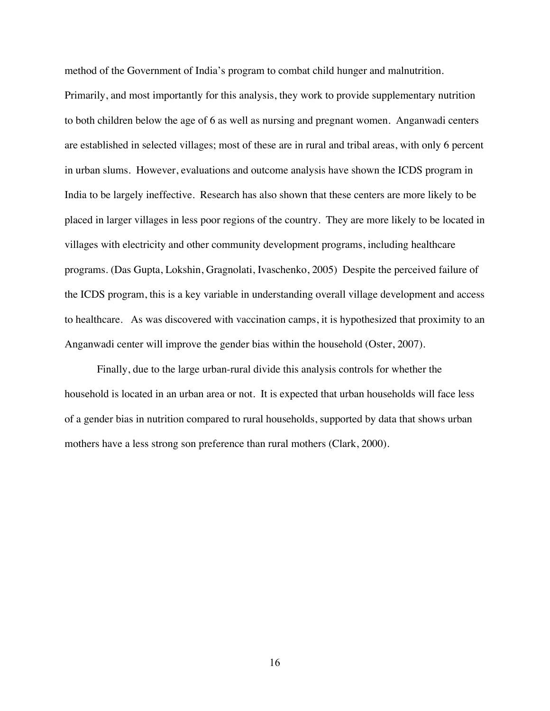method of the Government of India's program to combat child hunger and malnutrition.

Primarily, and most importantly for this analysis, they work to provide supplementary nutrition to both children below the age of 6 as well as nursing and pregnant women. Anganwadi centers are established in selected villages; most of these are in rural and tribal areas, with only 6 percent in urban slums. However, evaluations and outcome analysis have shown the ICDS program in India to be largely ineffective. Research has also shown that these centers are more likely to be placed in larger villages in less poor regions of the country. They are more likely to be located in villages with electricity and other community development programs, including healthcare programs. (Das Gupta, Lokshin, Gragnolati, Ivaschenko, 2005) Despite the perceived failure of the ICDS program, this is a key variable in understanding overall village development and access to healthcare. As was discovered with vaccination camps, it is hypothesized that proximity to an Anganwadi center will improve the gender bias within the household (Oster, 2007).

Finally, due to the large urban-rural divide this analysis controls for whether the household is located in an urban area or not. It is expected that urban households will face less of a gender bias in nutrition compared to rural households, supported by data that shows urban mothers have a less strong son preference than rural mothers (Clark, 2000).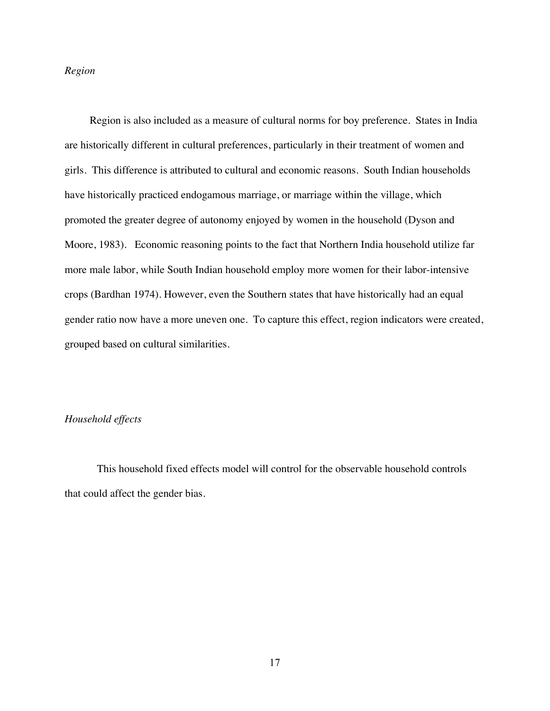### *Region*

Region is also included as a measure of cultural norms for boy preference. States in India are historically different in cultural preferences, particularly in their treatment of women and girls. This difference is attributed to cultural and economic reasons. South Indian households have historically practiced endogamous marriage, or marriage within the village, which promoted the greater degree of autonomy enjoyed by women in the household (Dyson and Moore, 1983). Economic reasoning points to the fact that Northern India household utilize far more male labor, while South Indian household employ more women for their labor-intensive crops (Bardhan 1974). However, even the Southern states that have historically had an equal gender ratio now have a more uneven one. To capture this effect, region indicators were created, grouped based on cultural similarities.

### *Household effects*

This household fixed effects model will control for the observable household controls that could affect the gender bias.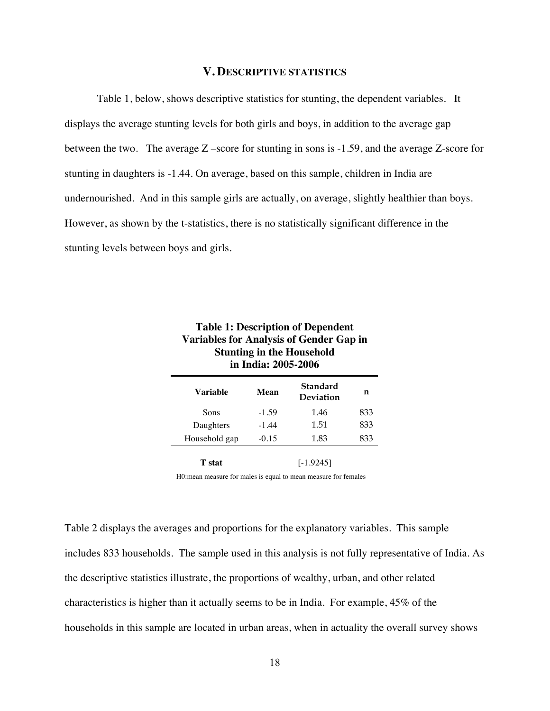### **V. DESCRIPTIVE STATISTICS**

Table 1, below, shows descriptive statistics for stunting, the dependent variables. It displays the average stunting levels for both girls and boys, in addition to the average gap between the two. The average Z –score for stunting in sons is -1.59, and the average Z-score for stunting in daughters is -1.44. On average, based on this sample, children in India are undernourished. And in this sample girls are actually, on average, slightly healthier than boys. However, as shown by the t-statistics, there is no statistically significant difference in the stunting levels between boys and girls.

| <b>Variables for Analysis of Gender Gap in</b><br><b>Stunting in the Household</b><br>in India: 2005-2006 |         |                       |     |
|-----------------------------------------------------------------------------------------------------------|---------|-----------------------|-----|
| Variable                                                                                                  | Mean    | Standard<br>Deviation | n   |
| Sons                                                                                                      | $-1.59$ | 1.46                  | 833 |
| Daughters                                                                                                 | $-1.44$ | 1.51                  | 833 |
| Household gap                                                                                             | $-0.15$ | 1.83                  | 833 |
| <b>T</b> stat                                                                                             |         | $[-1.9245]$           |     |
| H0: mean measure for males is equal to mean measure for females                                           |         |                       |     |

**Table 1: Description of Dependent** 

Table 2 displays the averages and proportions for the explanatory variables. This sample includes 833 households. The sample used in this analysis is not fully representative of India. As the descriptive statistics illustrate, the proportions of wealthy, urban, and other related characteristics is higher than it actually seems to be in India. For example, 45% of the households in this sample are located in urban areas, when in actuality the overall survey shows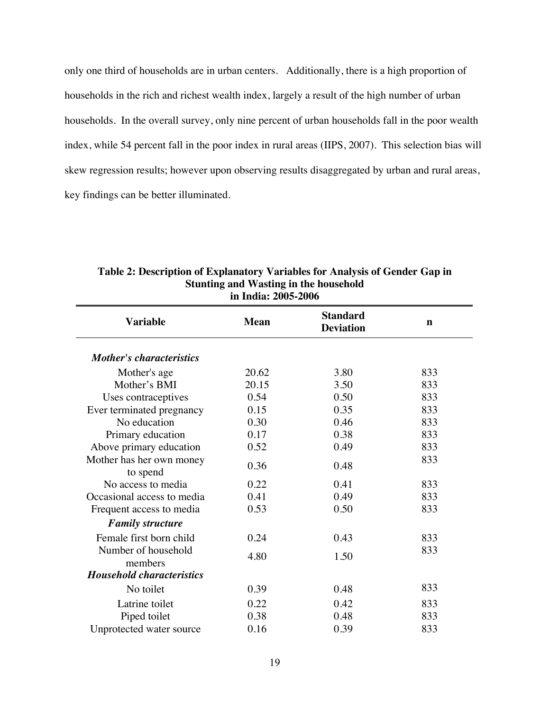only one third of households are in urban centers. Additionally, there is a high proportion of households in the rich and richest wealth index, largely a result of the high number of urban households. In the overall survey, only nine percent of urban households fall in the poor wealth index, while 54 percent fall in the poor index in rural areas (IIPS, 2007). This selection bias will skew regression results; however upon observing results disaggregated by urban and rural areas, key findings can be better illuminated.

| III 11101a. ZVVJ-ZVVV                |             |                                     |             |  |
|--------------------------------------|-------------|-------------------------------------|-------------|--|
| <b>Variable</b>                      | <b>Mean</b> | <b>Standard</b><br><b>Deviation</b> | $\mathbf n$ |  |
| <b>Mother's characteristics</b>      |             |                                     |             |  |
| Mother's age                         | 20.62       | 3.80                                | 833         |  |
| Mother's BMI                         | 20.15       | 3.50                                | 833         |  |
| Uses contraceptives                  | 0.54        | 0.50                                | 833         |  |
| Ever terminated pregnancy            | 0.15        | 0.35                                | 833         |  |
| No education                         | 0.30        | 0.46                                | 833         |  |
| Primary education                    | 0.17        | 0.38                                | 833         |  |
| Above primary education              | 0.52        | 0.49                                | 833         |  |
| Mother has her own money<br>to spend | 0.36        | 0.48                                | 833         |  |
| No access to media                   | 0.22        | 0.41                                | 833         |  |
| Occasional access to media           | 0.41        | 0.49                                | 833         |  |
| Frequent access to media             | 0.53        | 0.50                                | 833         |  |
| <b>Family structure</b>              |             |                                     |             |  |
| Female first born child              | 0.24        | 0.43                                | 833         |  |
| Number of household<br>members       | 4.80        | 1.50                                | 833         |  |
| <b>Household characteristics</b>     |             |                                     |             |  |
| No toilet                            | 0.39        | 0.48                                | 833         |  |
| Latrine toilet                       | 0.22        | 0.42                                | 833         |  |
| Piped toilet                         | 0.38        | 0.48                                | 833         |  |
| Unprotected water source             | 0.16        | 0.39                                | 833         |  |

**Table 2: Description of Explanatory Variables for Analysis of Gender Gap in Stunting and Wasting in the household in India: 2005-2006**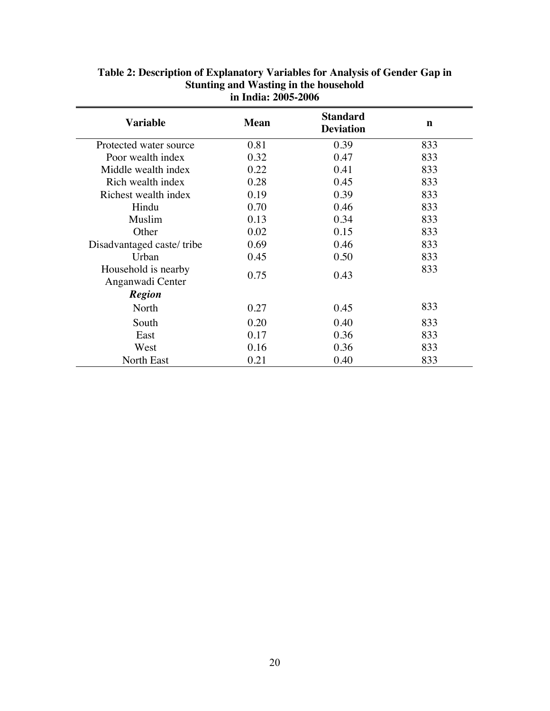| <b>Variable</b>                         | <b>Mean</b> | <b>Standard</b><br><b>Deviation</b> | n   |
|-----------------------------------------|-------------|-------------------------------------|-----|
| Protected water source                  | 0.81        | 0.39                                | 833 |
| Poor wealth index                       | 0.32        | 0.47                                | 833 |
| Middle wealth index                     | 0.22        | 0.41                                | 833 |
| Rich wealth index                       | 0.28        | 0.45                                | 833 |
| Richest wealth index                    | 0.19        | 0.39                                | 833 |
| Hindu                                   | 0.70        | 0.46                                | 833 |
| Muslim                                  | 0.13        | 0.34                                | 833 |
| Other                                   | 0.02        | 0.15                                | 833 |
| Disadvantaged caste/tribe               | 0.69        | 0.46                                | 833 |
| Urban                                   | 0.45        | 0.50                                | 833 |
| Household is nearby<br>Anganwadi Center | 0.75        | 0.43                                | 833 |
| <b>Region</b>                           |             |                                     |     |
| North                                   | 0.27        | 0.45                                | 833 |
| South                                   | 0.20        | 0.40                                | 833 |
| East                                    | 0.17        | 0.36                                | 833 |
| West                                    | 0.16        | 0.36                                | 833 |
| <b>North East</b>                       | 0.21        | 0.40                                | 833 |

## **Table 2: Description of Explanatory Variables for Analysis of Gender Gap in Stunting and Wasting in the household in India: 2005-2006**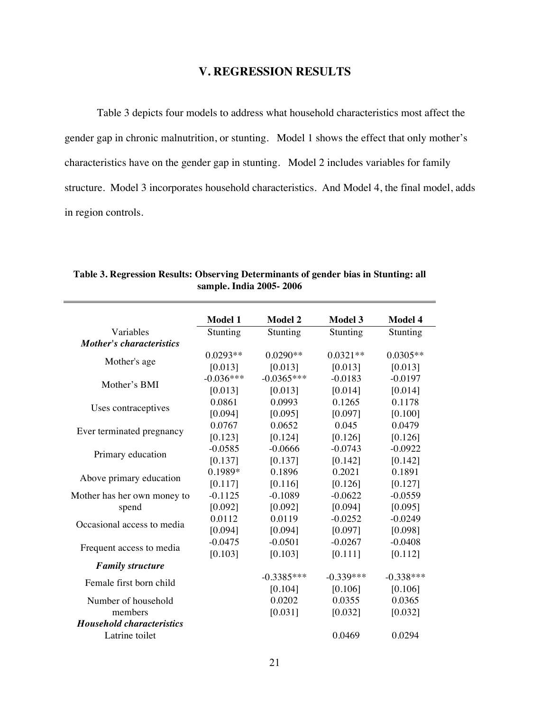## **V. REGRESSION RESULTS**

Table 3 depicts four models to address what household characteristics most affect the gender gap in chronic malnutrition, or stunting. Model 1 shows the effect that only mother's characteristics have on the gender gap in stunting. Model 2 includes variables for family structure. Model 3 incorporates household characteristics. And Model 4, the final model, adds in region controls.

|                                  | Model 1     | <b>Model 2</b> | <b>Model 3</b> | Model 4     |
|----------------------------------|-------------|----------------|----------------|-------------|
| Variables                        | Stunting    | Stunting       | Stunting       | Stunting    |
| <b>Mother's characteristics</b>  |             |                |                |             |
|                                  | $0.0293**$  | $0.0290**$     | $0.0321**$     | $0.0305**$  |
| Mother's age                     | [0.013]     | [0.013]        | [0.013]        | [0.013]     |
| Mother's BMI                     | $-0.036***$ | $-0.0365***$   | $-0.0183$      | $-0.0197$   |
|                                  | [0.013]     | [0.013]        | [0.014]        | [0.014]     |
|                                  | 0.0861      | 0.0993         | 0.1265         | 0.1178      |
| Uses contraceptives              | [0.094]     | [0.095]        | [0.097]        | [0.100]     |
|                                  | 0.0767      | 0.0652         | 0.045          | 0.0479      |
| Ever terminated pregnancy        | [0.123]     | [0.124]        | [0.126]        | [0.126]     |
|                                  | $-0.0585$   | $-0.0666$      | $-0.0743$      | $-0.0922$   |
| Primary education                | [0.137]     | [0.137]        | [0.142]        | [0.142]     |
| Above primary education          | 0.1989*     | 0.1896         | 0.2021         | 0.1891      |
|                                  | [0.117]     | [0.116]        | [0.126]        | [0.127]     |
| Mother has her own money to      | $-0.1125$   | $-0.1089$      | $-0.0622$      | $-0.0559$   |
| spend                            | [0.092]     | [0.092]        | [0.094]        | [0.095]     |
| Occasional access to media       | 0.0112      | 0.0119         | $-0.0252$      | $-0.0249$   |
|                                  | [0.094]     | [0.094]        | [0.097]        | [0.098]     |
| Frequent access to media         | $-0.0475$   | $-0.0501$      | $-0.0267$      | $-0.0408$   |
|                                  | [0.103]     | [0.103]        | [0.111]        | [0.112]     |
| <b>Family structure</b>          |             |                |                |             |
| Female first born child          |             | $-0.3385***$   | $-0.339***$    | $-0.338***$ |
|                                  |             | [0.104]        | [0.106]        | [0.106]     |
| Number of household              |             | 0.0202         | 0.0355         | 0.0365      |
| members                          |             | [0.031]        | [0.032]        | [0.032]     |
| <b>Household characteristics</b> |             |                |                |             |
| Latrine toilet                   |             |                | 0.0469         | 0.0294      |

**Table 3. Regression Results: Observing Determinants of gender bias in Stunting: all sample. India 2005- 2006**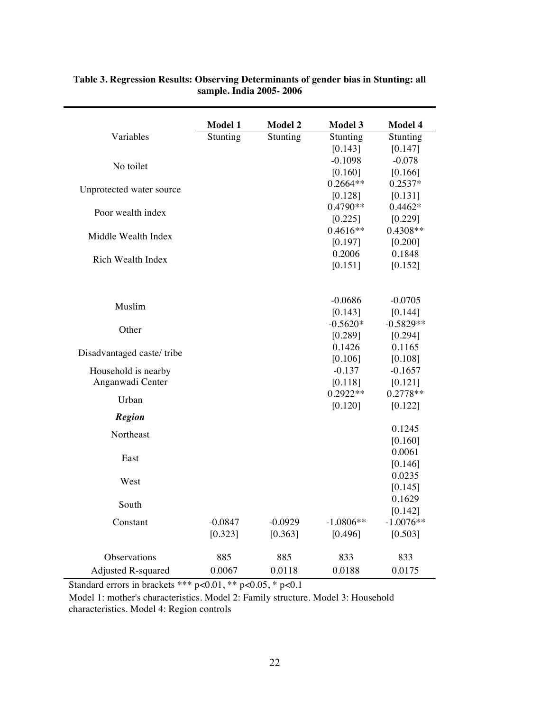|                           | Model 1   | <b>Model 2</b> | <b>Model 3</b> | Model 4     |
|---------------------------|-----------|----------------|----------------|-------------|
| Variables                 | Stunting  | Stunting       | Stunting       | Stunting    |
|                           |           |                | [0.143]        | [0.147]     |
| No toilet                 |           |                | $-0.1098$      | $-0.078$    |
|                           |           |                | [0.160]        | [0.166]     |
| Unprotected water source  |           |                | $0.2664**$     | $0.2537*$   |
|                           |           |                | [0.128]        | [0.131]     |
| Poor wealth index         |           |                | 0.4790**       | $0.4462*$   |
|                           |           |                | [0.225]        | [0.229]     |
| Middle Wealth Index       |           |                | $0.4616**$     | 0.4308**    |
|                           |           |                | [0.197]        | [0.200]     |
| Rich Wealth Index         |           |                | 0.2006         | 0.1848      |
|                           |           |                | [0.151]        | [0.152]     |
|                           |           |                |                |             |
|                           |           |                | $-0.0686$      | $-0.0705$   |
| Muslim                    |           |                | [0.143]        | [0.144]     |
|                           |           |                | $-0.5620*$     | $-0.5829**$ |
| Other                     |           |                | [0.289]        | [0.294]     |
|                           |           |                | 0.1426         | 0.1165      |
| Disadvantaged caste/tribe |           |                | [0.106]        | [0.108]     |
| Household is nearby       |           |                | $-0.137$       | $-0.1657$   |
| Anganwadi Center          |           |                | [0.118]        | [0.121]     |
|                           |           |                | $0.2922**$     | $0.2778**$  |
| Urban                     |           |                | [0.120]        | [0.122]     |
| <b>Region</b>             |           |                |                |             |
| Northeast                 |           |                |                | 0.1245      |
|                           |           |                |                | [0.160]     |
| East                      |           |                |                | 0.0061      |
|                           |           |                |                | [0.146]     |
| West                      |           |                |                | 0.0235      |
|                           |           |                |                | [0.145]     |
| South                     |           |                |                | 0.1629      |
|                           |           |                |                | [0.142]     |
| Constant                  | $-0.0847$ | $-0.0929$      | $-1.0806**$    | $-1.0076**$ |
|                           | [0.323]   | [0.363]        | [0.496]        | [0.503]     |
| Observations              | 885       | 885            | 833            | 833         |
| Adjusted R-squared        | 0.0067    | 0.0118         | 0.0188         | 0.0175      |

### **Table 3. Regression Results: Observing Determinants of gender bias in Stunting: all sample. India 2005- 2006**

Standard errors in brackets \*\*\* p<0.01, \*\* p<0.05, \* p<0.1

Model 1: mother's characteristics. Model 2: Family structure. Model 3: Household characteristics. Model 4: Region controls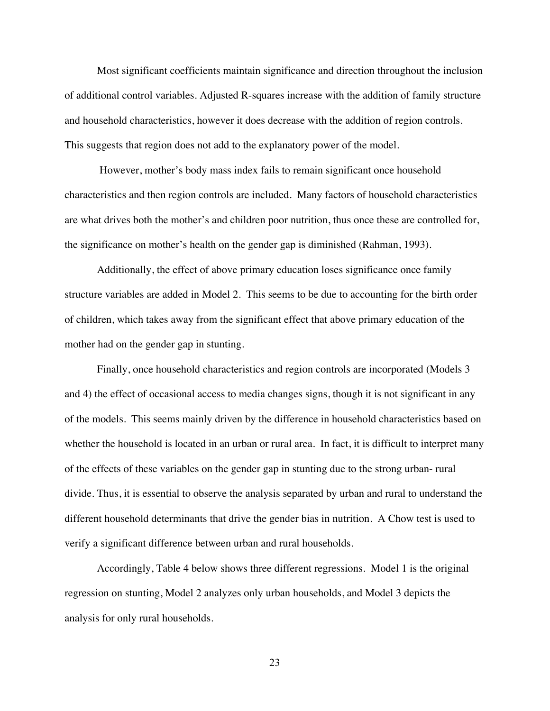Most significant coefficients maintain significance and direction throughout the inclusion of additional control variables. Adjusted R-squares increase with the addition of family structure and household characteristics, however it does decrease with the addition of region controls. This suggests that region does not add to the explanatory power of the model.

 However, mother's body mass index fails to remain significant once household characteristics and then region controls are included. Many factors of household characteristics are what drives both the mother's and children poor nutrition, thus once these are controlled for, the significance on mother's health on the gender gap is diminished (Rahman, 1993).

Additionally, the effect of above primary education loses significance once family structure variables are added in Model 2. This seems to be due to accounting for the birth order of children, which takes away from the significant effect that above primary education of the mother had on the gender gap in stunting.

Finally, once household characteristics and region controls are incorporated (Models 3 and 4) the effect of occasional access to media changes signs, though it is not significant in any of the models. This seems mainly driven by the difference in household characteristics based on whether the household is located in an urban or rural area. In fact, it is difficult to interpret many of the effects of these variables on the gender gap in stunting due to the strong urban- rural divide. Thus, it is essential to observe the analysis separated by urban and rural to understand the different household determinants that drive the gender bias in nutrition. A Chow test is used to verify a significant difference between urban and rural households.

Accordingly, Table 4 below shows three different regressions. Model 1 is the original regression on stunting, Model 2 analyzes only urban households, and Model 3 depicts the analysis for only rural households.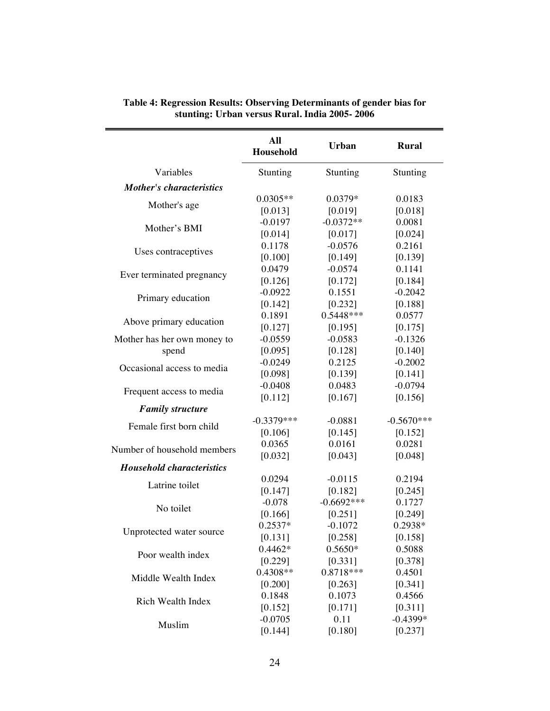|                                  | All<br>Household | <b>Urban</b> | <b>Rural</b> |
|----------------------------------|------------------|--------------|--------------|
| Variables                        | Stunting         | Stunting     | Stunting     |
| <b>Mother's characteristics</b>  |                  |              |              |
|                                  | $0.0305**$       | 0.0379*      | 0.0183       |
| Mother's age                     | [0.013]          | [0.019]      | [0.018]      |
| Mother's BMI                     | $-0.0197$        | $-0.0372**$  | 0.0081       |
|                                  | [0.014]          | [0.017]      | [0.024]      |
| Uses contraceptives              | 0.1178           | $-0.0576$    | 0.2161       |
|                                  | [0.100]          | [0.149]      | [0.139]      |
| Ever terminated pregnancy        | 0.0479           | $-0.0574$    | 0.1141       |
|                                  | [0.126]          | [0.172]      | [0.184]      |
| Primary education                | $-0.0922$        | 0.1551       | $-0.2042$    |
|                                  | [0.142]          | [0.232]      | [0.188]      |
|                                  | 0.1891           | 0.5448***    | 0.0577       |
| Above primary education          | [0.127]          | [0.195]      | [0.175]      |
| Mother has her own money to      | $-0.0559$        | $-0.0583$    | $-0.1326$    |
| spend                            | [0.095]          | [0.128]      | [0.140]      |
| Occasional access to media       | $-0.0249$        | 0.2125       | $-0.2002$    |
|                                  | [0.098]          | [0.139]      | [0.141]      |
|                                  | $-0.0408$        | 0.0483       | $-0.0794$    |
| Frequent access to media         | [0.112]          | [0.167]      | [0.156]      |
| <b>Family structure</b>          |                  |              |              |
| Female first born child          | $-0.3379***$     | $-0.0881$    | $-0.5670***$ |
|                                  | [0.106]          | [0.145]      | [0.152]      |
| Number of household members      | 0.0365           | 0.0161       | 0.0281       |
|                                  | [0.032]          | [0.043]      | [0.048]      |
| <b>Household characteristics</b> |                  |              |              |
| Latrine toilet                   | 0.0294           | $-0.0115$    | 0.2194       |
|                                  | [0.147]          | [0.182]      | [0.245]      |
| No toilet                        | $-0.078$         | $-0.6692***$ | 0.1727       |
|                                  | [0.166]          | [0.251]      | [0.249]      |
| Unprotected water source         | 0.2537*          | $-0.1072$    | 0.2938*      |
|                                  | [0.131]          | [0.258]      | [0.158]      |
| Poor wealth index                | $0.4462*$        | $0.5650*$    | 0.5088       |
|                                  | [0.229]          | [0.331]      | [0.378]      |
| Middle Wealth Index              | 0.4308**         | 0.8718***    | 0.4501       |
|                                  | [0.200]          | [0.263]      | [0.341]      |
| Rich Wealth Index                | 0.1848           | 0.1073       | 0.4566       |
|                                  | [0.152]          | [0.171]      | [0.311]      |
| Muslim                           | $-0.0705$        | 0.11         | $-0.4399*$   |
|                                  | [0.144]          | [0.180]      | [0.237]      |

**Table 4: Regression Results: Observing Determinants of gender bias for stunting: Urban versus Rural. India 2005- 2006**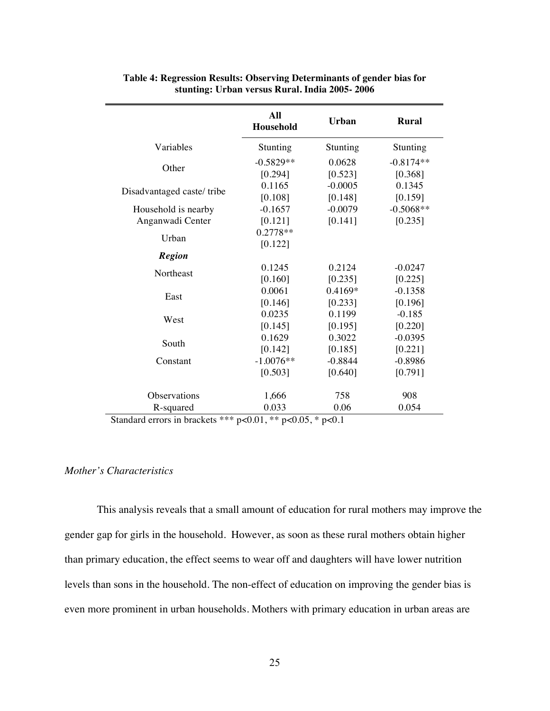| Variables<br>Stunting<br>Stunting<br>Stunting                |  |
|--------------------------------------------------------------|--|
|                                                              |  |
| $-0.5829**$<br>0.0628<br>$-0.8174**$                         |  |
| Other<br>[0.523]<br>[0.294]<br>[0.368]                       |  |
| 0.1165<br>$-0.0005$<br>0.1345                                |  |
| Disadvantaged caste/tribe<br>[0.108]<br>[0.148]<br>[0.159]   |  |
| $-0.5068**$<br>$-0.1657$<br>$-0.0079$<br>Household is nearby |  |
| [0.121]<br>[0.141]<br>[0.235]<br>Anganwadi Center            |  |
| $0.2778**$<br>Urban                                          |  |
| [0.122]                                                      |  |
| <b>Region</b>                                                |  |
| 0.1245<br>0.2124<br>$-0.0247$<br>Northeast                   |  |
| [0.160]<br>[0.235]<br>[0.225]                                |  |
| 0.0061<br>0.4169*<br>$-0.1358$<br>East                       |  |
| [0.146]<br>[0.233]<br>[0.196]                                |  |
| 0.0235<br>0.1199<br>$-0.185$<br>West                         |  |
| [0.145]<br>[0.195]<br>[0.220]                                |  |
| 0.1629<br>0.3022<br>$-0.0395$<br>South                       |  |
| [0.142]<br>[0.185]<br>[0.221]                                |  |
| $-1.0076**$<br>$-0.8844$<br>$-0.8986$<br>Constant            |  |
| [0.503]<br>[0.640]<br>[0.791]                                |  |
| 908<br>Observations<br>1,666<br>758                          |  |
| 0.033<br>0.054<br>R-squared<br>0.06                          |  |

| Table 4: Regression Results: Observing Determinants of gender bias for |
|------------------------------------------------------------------------|
| stunting: Urban versus Rural. India 2005-2006                          |

Standard errors in brackets \*\*\* p<0.01, \*\* p<0.05, \* p<0.1

## *Mother's Characteristics*

This analysis reveals that a small amount of education for rural mothers may improve the gender gap for girls in the household. However, as soon as these rural mothers obtain higher than primary education, the effect seems to wear off and daughters will have lower nutrition levels than sons in the household. The non-effect of education on improving the gender bias is even more prominent in urban households. Mothers with primary education in urban areas are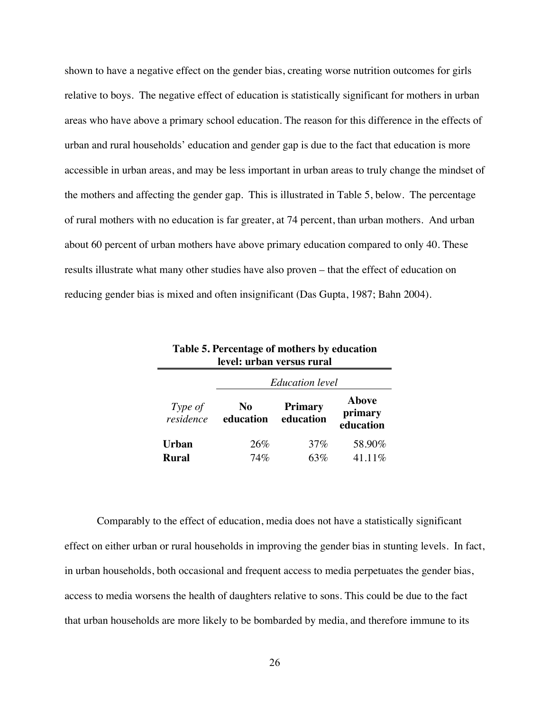shown to have a negative effect on the gender bias, creating worse nutrition outcomes for girls relative to boys. The negative effect of education is statistically significant for mothers in urban areas who have above a primary school education. The reason for this difference in the effects of urban and rural households' education and gender gap is due to the fact that education is more accessible in urban areas, and may be less important in urban areas to truly change the mindset of the mothers and affecting the gender gap. This is illustrated in Table 5, below. The percentage of rural mothers with no education is far greater, at 74 percent, than urban mothers. And urban about 60 percent of urban mothers have above primary education compared to only 40. These results illustrate what many other studies have also proven – that the effect of education on reducing gender bias is mixed and often insignificant (Das Gupta, 1987; Bahn 2004).

| Tasic et i el centage of modifie s'y caucadon<br>level: urban versus rural |                 |                             |                                      |  |
|----------------------------------------------------------------------------|-----------------|-----------------------------|--------------------------------------|--|
| <b>Education</b> level                                                     |                 |                             |                                      |  |
| Type of<br>residence                                                       | No<br>education | <b>Primary</b><br>education | <b>Above</b><br>primary<br>education |  |
| <b>Urban</b>                                                               | 26%             | 37%                         | 58.90%                               |  |
| Rural                                                                      | 74%             | 63%                         | 41.11%                               |  |

**Table 5. Percentage of mothers by education** 

Comparably to the effect of education, media does not have a statistically significant effect on either urban or rural households in improving the gender bias in stunting levels. In fact, in urban households, both occasional and frequent access to media perpetuates the gender bias, access to media worsens the health of daughters relative to sons. This could be due to the fact that urban households are more likely to be bombarded by media, and therefore immune to its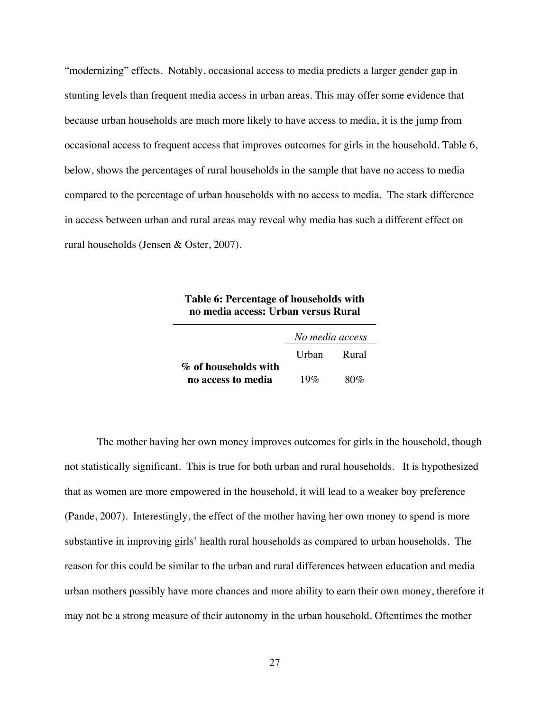"modernizing" effects. Notably, occasional access to media predicts a larger gender gap in stunting levels than frequent media access in urban areas. This may offer some evidence that because urban households are much more likely to have access to media, it is the jump from occasional access to frequent access that improves outcomes for girls in the household. Table 6, below, shows the percentages of rural households in the sample that have no access to media compared to the percentage of urban households with no access to media. The stark difference in access between urban and rural areas may reveal why media has such a different effect on rural households (Jensen & Oster, 2007).

| Table 6: Percentage of households with |
|----------------------------------------|
| no media access: Urban versus Rural    |

|                      | No media access |     |  |
|----------------------|-----------------|-----|--|
|                      | Urban Rural     |     |  |
| % of households with |                 |     |  |
| no access to media   | 19%             | 80% |  |

The mother having her own money improves outcomes for girls in the household, though not statistically significant. This is true for both urban and rural households. It is hypothesized that as women are more empowered in the household, it will lead to a weaker boy preference (Pande, 2007). Interestingly, the effect of the mother having her own money to spend is more substantive in improving girls' health rural households as compared to urban households. The reason for this could be similar to the urban and rural differences between education and media urban mothers possibly have more chances and more ability to earn their own money, therefore it may not be a strong measure of their autonomy in the urban household. Oftentimes the mother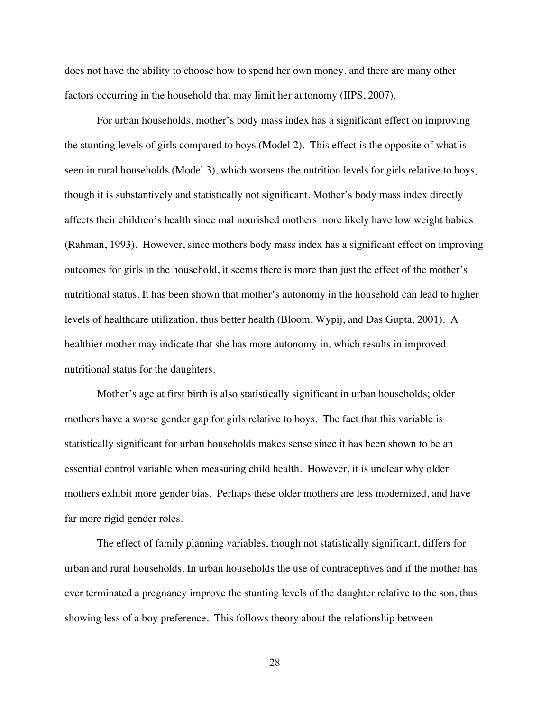does not have the ability to choose how to spend her own money, and there are many other factors occurring in the household that may limit her autonomy (IIPS, 2007).

For urban households, mother's body mass index has a significant effect on improving the stunting levels of girls compared to boys (Model 2). This effect is the opposite of what is seen in rural households (Model 3), which worsens the nutrition levels for girls relative to boys, though it is substantively and statistically not significant. Mother's body mass index directly affects their children's health since mal nourished mothers more likely have low weight babies (Rahman, 1993). However, since mothers body mass index has a significant effect on improving outcomes for girls in the household, it seems there is more than just the effect of the mother's nutritional status. It has been shown that mother's autonomy in the household can lead to higher levels of healthcare utilization, thus better health (Bloom, Wypij, and Das Gupta, 2001). A healthier mother may indicate that she has more autonomy in, which results in improved nutritional status for the daughters.

Mother's age at first birth is also statistically significant in urban households; older mothers have a worse gender gap for girls relative to boys. The fact that this variable is statistically significant for urban households makes sense since it has been shown to be an essential control variable when measuring child health. However, it is unclear why older mothers exhibit more gender bias. Perhaps these older mothers are less modernized, and have far more rigid gender roles.

The effect of family planning variables, though not statistically significant, differs for urban and rural households. In urban households the use of contraceptives and if the mother has ever terminated a pregnancy improve the stunting levels of the daughter relative to the son, thus showing less of a boy preference. This follows theory about the relationship between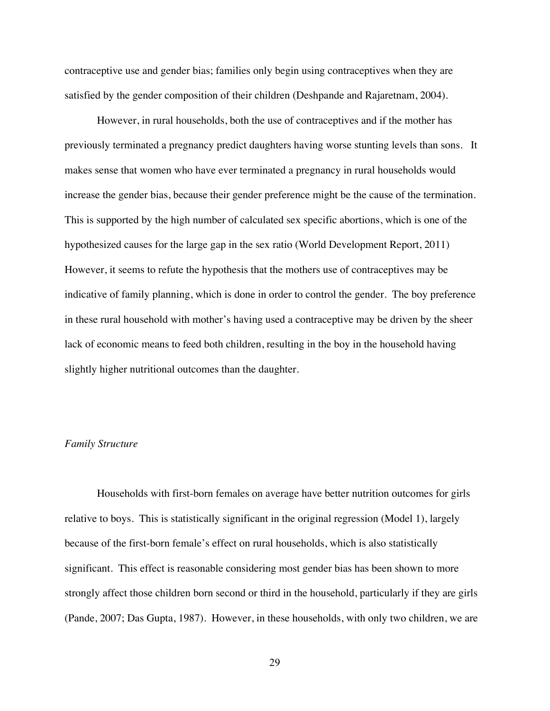contraceptive use and gender bias; families only begin using contraceptives when they are satisfied by the gender composition of their children (Deshpande and Rajaretnam, 2004).

However, in rural households, both the use of contraceptives and if the mother has previously terminated a pregnancy predict daughters having worse stunting levels than sons. It makes sense that women who have ever terminated a pregnancy in rural households would increase the gender bias, because their gender preference might be the cause of the termination. This is supported by the high number of calculated sex specific abortions, which is one of the hypothesized causes for the large gap in the sex ratio (World Development Report, 2011) However, it seems to refute the hypothesis that the mothers use of contraceptives may be indicative of family planning, which is done in order to control the gender. The boy preference in these rural household with mother's having used a contraceptive may be driven by the sheer lack of economic means to feed both children, resulting in the boy in the household having slightly higher nutritional outcomes than the daughter.

### *Family Structure*

Households with first-born females on average have better nutrition outcomes for girls relative to boys. This is statistically significant in the original regression (Model 1), largely because of the first-born female's effect on rural households, which is also statistically significant. This effect is reasonable considering most gender bias has been shown to more strongly affect those children born second or third in the household, particularly if they are girls (Pande, 2007; Das Gupta, 1987). However, in these households, with only two children, we are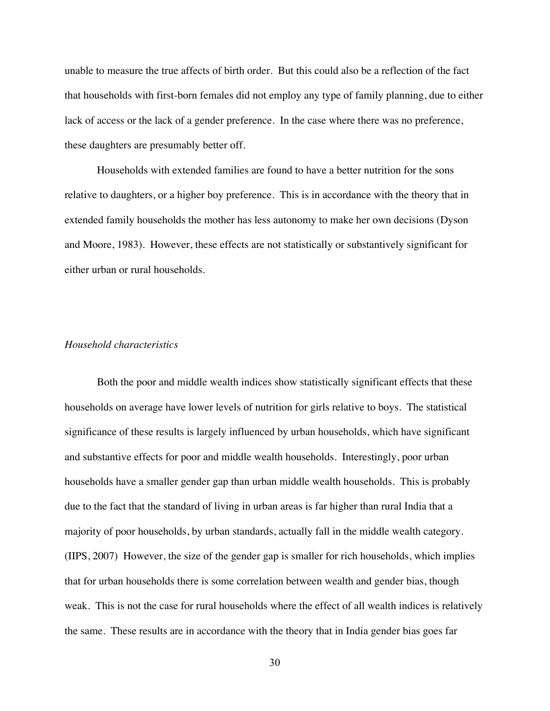unable to measure the true affects of birth order. But this could also be a reflection of the fact that households with first-born females did not employ any type of family planning, due to either lack of access or the lack of a gender preference. In the case where there was no preference, these daughters are presumably better off.

Households with extended families are found to have a better nutrition for the sons relative to daughters, or a higher boy preference. This is in accordance with the theory that in extended family households the mother has less autonomy to make her own decisions (Dyson and Moore, 1983). However, these effects are not statistically or substantively significant for either urban or rural households.

### *Household characteristics*

Both the poor and middle wealth indices show statistically significant effects that these households on average have lower levels of nutrition for girls relative to boys. The statistical significance of these results is largely influenced by urban households, which have significant and substantive effects for poor and middle wealth households. Interestingly, poor urban households have a smaller gender gap than urban middle wealth households. This is probably due to the fact that the standard of living in urban areas is far higher than rural India that a majority of poor households, by urban standards, actually fall in the middle wealth category. (IIPS, 2007) However, the size of the gender gap is smaller for rich households, which implies that for urban households there is some correlation between wealth and gender bias, though weak. This is not the case for rural households where the effect of all wealth indices is relatively the same. These results are in accordance with the theory that in India gender bias goes far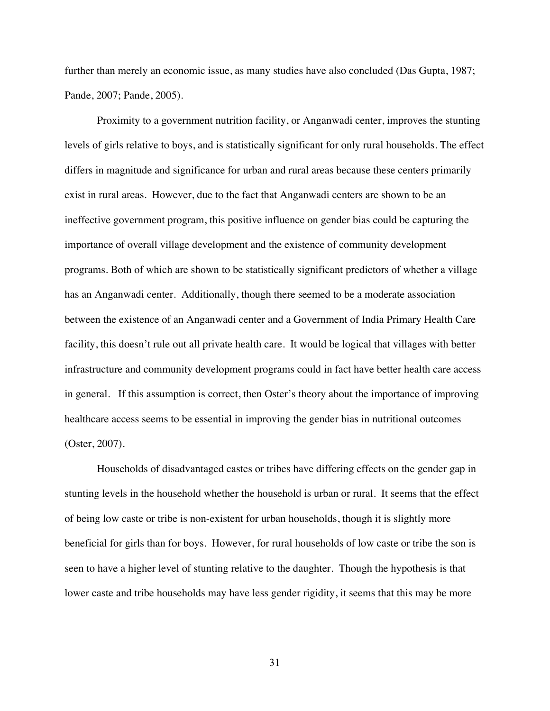further than merely an economic issue, as many studies have also concluded (Das Gupta, 1987; Pande, 2007; Pande, 2005).

Proximity to a government nutrition facility, or Anganwadi center, improves the stunting levels of girls relative to boys, and is statistically significant for only rural households. The effect differs in magnitude and significance for urban and rural areas because these centers primarily exist in rural areas. However, due to the fact that Anganwadi centers are shown to be an ineffective government program, this positive influence on gender bias could be capturing the importance of overall village development and the existence of community development programs. Both of which are shown to be statistically significant predictors of whether a village has an Anganwadi center. Additionally, though there seemed to be a moderate association between the existence of an Anganwadi center and a Government of India Primary Health Care facility, this doesn't rule out all private health care. It would be logical that villages with better infrastructure and community development programs could in fact have better health care access in general. If this assumption is correct, then Oster's theory about the importance of improving healthcare access seems to be essential in improving the gender bias in nutritional outcomes (Oster, 2007).

Households of disadvantaged castes or tribes have differing effects on the gender gap in stunting levels in the household whether the household is urban or rural. It seems that the effect of being low caste or tribe is non-existent for urban households, though it is slightly more beneficial for girls than for boys. However, for rural households of low caste or tribe the son is seen to have a higher level of stunting relative to the daughter. Though the hypothesis is that lower caste and tribe households may have less gender rigidity, it seems that this may be more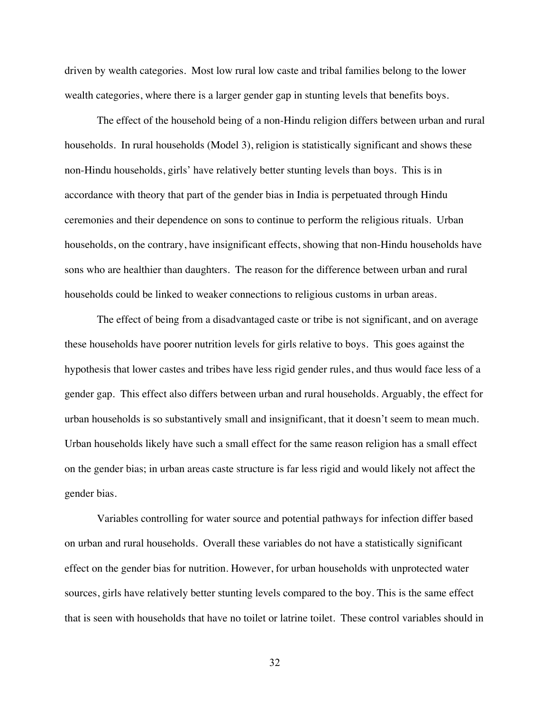driven by wealth categories. Most low rural low caste and tribal families belong to the lower wealth categories, where there is a larger gender gap in stunting levels that benefits boys.

The effect of the household being of a non-Hindu religion differs between urban and rural households. In rural households (Model 3), religion is statistically significant and shows these non-Hindu households, girls' have relatively better stunting levels than boys. This is in accordance with theory that part of the gender bias in India is perpetuated through Hindu ceremonies and their dependence on sons to continue to perform the religious rituals. Urban households, on the contrary, have insignificant effects, showing that non-Hindu households have sons who are healthier than daughters. The reason for the difference between urban and rural households could be linked to weaker connections to religious customs in urban areas.

The effect of being from a disadvantaged caste or tribe is not significant, and on average these households have poorer nutrition levels for girls relative to boys. This goes against the hypothesis that lower castes and tribes have less rigid gender rules, and thus would face less of a gender gap. This effect also differs between urban and rural households. Arguably, the effect for urban households is so substantively small and insignificant, that it doesn't seem to mean much. Urban households likely have such a small effect for the same reason religion has a small effect on the gender bias; in urban areas caste structure is far less rigid and would likely not affect the gender bias.

Variables controlling for water source and potential pathways for infection differ based on urban and rural households. Overall these variables do not have a statistically significant effect on the gender bias for nutrition. However, for urban households with unprotected water sources, girls have relatively better stunting levels compared to the boy. This is the same effect that is seen with households that have no toilet or latrine toilet. These control variables should in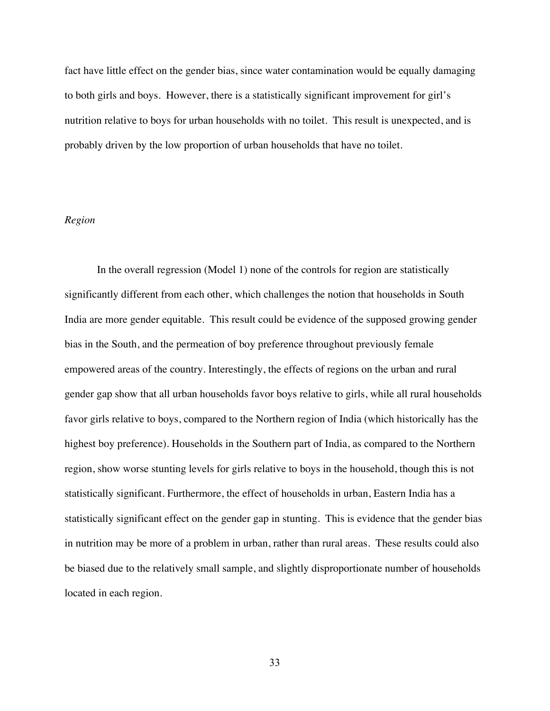fact have little effect on the gender bias, since water contamination would be equally damaging to both girls and boys. However, there is a statistically significant improvement for girl's nutrition relative to boys for urban households with no toilet. This result is unexpected, and is probably driven by the low proportion of urban households that have no toilet.

### *Region*

In the overall regression (Model 1) none of the controls for region are statistically significantly different from each other, which challenges the notion that households in South India are more gender equitable. This result could be evidence of the supposed growing gender bias in the South, and the permeation of boy preference throughout previously female empowered areas of the country. Interestingly, the effects of regions on the urban and rural gender gap show that all urban households favor boys relative to girls, while all rural households favor girls relative to boys, compared to the Northern region of India (which historically has the highest boy preference). Households in the Southern part of India, as compared to the Northern region, show worse stunting levels for girls relative to boys in the household, though this is not statistically significant. Furthermore, the effect of households in urban, Eastern India has a statistically significant effect on the gender gap in stunting. This is evidence that the gender bias in nutrition may be more of a problem in urban, rather than rural areas. These results could also be biased due to the relatively small sample, and slightly disproportionate number of households located in each region.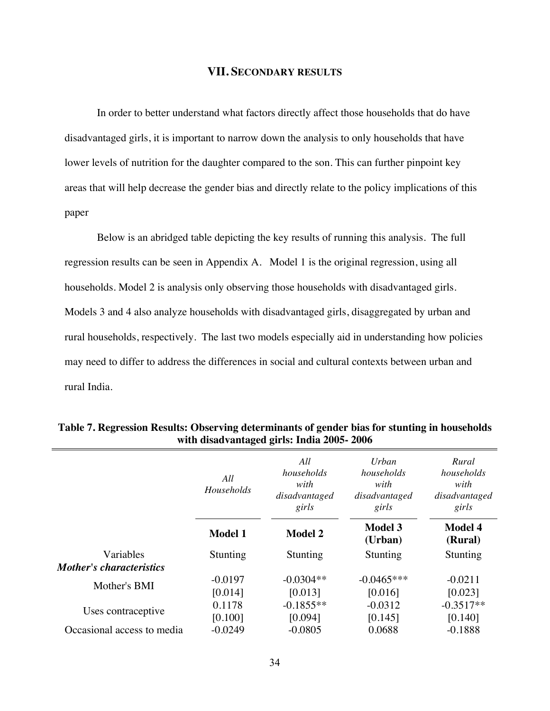### **VII. SECONDARY RESULTS**

In order to better understand what factors directly affect those households that do have disadvantaged girls, it is important to narrow down the analysis to only households that have lower levels of nutrition for the daughter compared to the son. This can further pinpoint key areas that will help decrease the gender bias and directly relate to the policy implications of this paper

Below is an abridged table depicting the key results of running this analysis. The full regression results can be seen in Appendix A. Model 1 is the original regression, using all households. Model 2 is analysis only observing those households with disadvantaged girls. Models 3 and 4 also analyze households with disadvantaged girls, disaggregated by urban and rural households, respectively. The last two models especially aid in understanding how policies may need to differ to address the differences in social and cultural contexts between urban and rural India.

|                                              | All<br><b>Households</b> | All<br>households<br>with<br>disadvantaged<br>girls | Urban<br>households<br>with<br>disadvantaged<br>girls | Rural<br>households<br>with<br>disadvantaged<br>girls |
|----------------------------------------------|--------------------------|-----------------------------------------------------|-------------------------------------------------------|-------------------------------------------------------|
|                                              | <b>Model 1</b>           | <b>Model 2</b>                                      | <b>Model 3</b><br>(Urban)                             | <b>Model 4</b><br>(Rural)                             |
| Variables<br><b>Mother's characteristics</b> | Stunting                 | Stunting                                            | Stunting                                              | Stunting                                              |
| Mother's BMI                                 | $-0.0197$<br>[0.014]     | $-0.0304**$<br>[0.013]                              | $-0.0465***$<br>[0.016]                               | $-0.0211$<br>[0.023]                                  |
| Uses contraceptive                           | 0.1178<br>[0.100]        | $-0.1855**$<br>[0.094]                              | $-0.0312$<br>[0.145]                                  | $-0.3517**$<br>[0.140]                                |
| Occasional access to media                   | $-0.0249$                | $-0.0805$                                           | 0.0688                                                | $-0.1888$                                             |

**Table 7. Regression Results: Observing determinants of gender bias for stunting in households with disadvantaged girls: India 2005- 2006**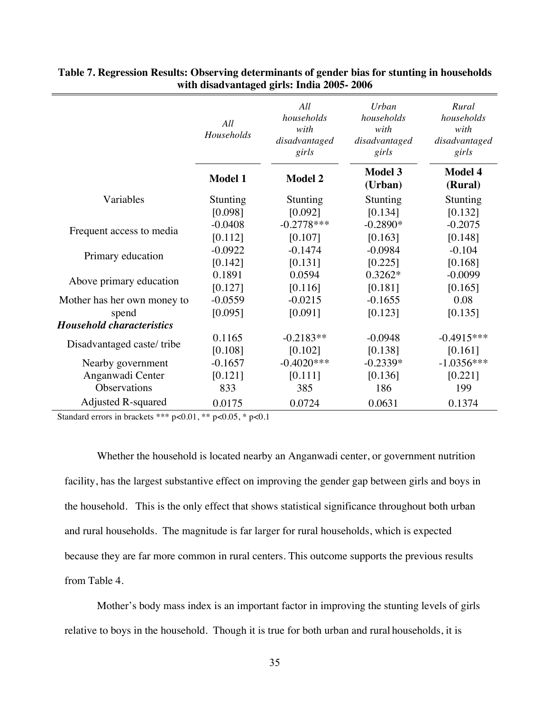|                                  | All<br>Households | All<br>households<br>with<br>disadvantaged<br>girls | Urban<br>households<br>with<br>disadvantaged<br>girls | Rural<br>households<br>with<br>disadvantaged<br>girls |
|----------------------------------|-------------------|-----------------------------------------------------|-------------------------------------------------------|-------------------------------------------------------|
|                                  | <b>Model 1</b>    | <b>Model 2</b>                                      | <b>Model 3</b><br>(Urban)                             | <b>Model 4</b><br>(Rural)                             |
| Variables                        | Stunting          | Stunting                                            | Stunting                                              | Stunting                                              |
|                                  | [0.098]           | [0.092]                                             | [0.134]                                               | [0.132]                                               |
| Frequent access to media         | $-0.0408$         | $-0.2778***$                                        | $-0.2890*$                                            | $-0.2075$                                             |
|                                  | [0.112]           | [0.107]                                             | [0.163]                                               | [0.148]                                               |
| Primary education                | $-0.0922$         | $-0.1474$                                           | $-0.0984$                                             | $-0.104$                                              |
|                                  | [0.142]           | [0.131]                                             | [0.225]                                               | [0.168]                                               |
| Above primary education          | 0.1891            | 0.0594                                              | $0.3262*$                                             | $-0.0099$                                             |
|                                  | [0.127]           | [0.116]                                             | [0.181]                                               | [0.165]                                               |
| Mother has her own money to      | $-0.0559$         | $-0.0215$                                           | $-0.1655$                                             | 0.08                                                  |
| spend                            | [0.095]           | [0.091]                                             | [0.123]                                               | [0.135]                                               |
| <b>Household characteristics</b> |                   |                                                     |                                                       |                                                       |
|                                  | 0.1165            | $-0.2183**$                                         | $-0.0948$                                             | $-0.4915***$                                          |
| Disadvantaged caste/tribe        | [0.108]           | [0.102]                                             | [0.138]                                               | [0.161]                                               |
| Nearby government                | $-0.1657$         | $-0.4020$ ***                                       | $-0.2339*$                                            | $-1.0356***$                                          |
| Anganwadi Center                 | [0.121]           | [0.111]                                             | [0.136]                                               | [0.221]                                               |
| Observations                     | 833               | 385                                                 | 186                                                   | 199                                                   |
| <b>Adjusted R-squared</b>        | 0.0175            | 0.0724                                              | 0.0631                                                | 0.1374                                                |

**Table 7. Regression Results: Observing determinants of gender bias for stunting in households with disadvantaged girls: India 2005- 2006** 

Standard errors in brackets \*\*\* p<0.01, \*\* p<0.05, \* p<0.1

Whether the household is located nearby an Anganwadi center, or government nutrition facility, has the largest substantive effect on improving the gender gap between girls and boys in the household. This is the only effect that shows statistical significance throughout both urban and rural households. The magnitude is far larger for rural households, which is expected because they are far more common in rural centers. This outcome supports the previous results from Table 4.

Mother's body mass index is an important factor in improving the stunting levels of girls relative to boys in the household. Though it is true for both urban and rural households, it is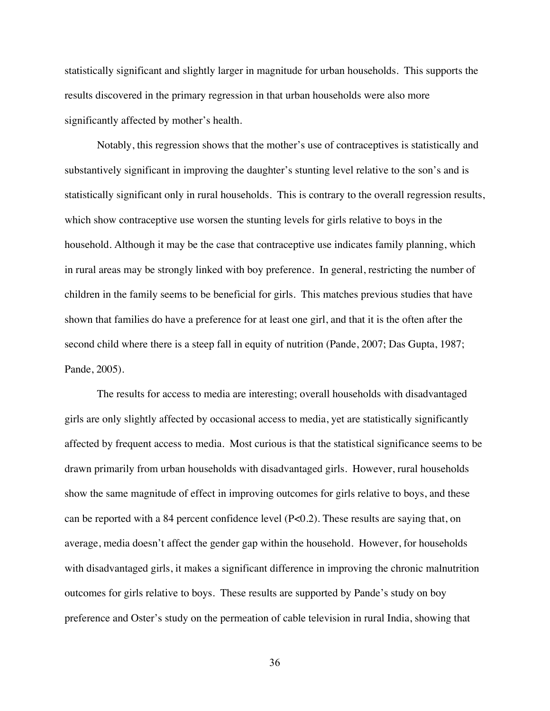statistically significant and slightly larger in magnitude for urban households. This supports the results discovered in the primary regression in that urban households were also more significantly affected by mother's health.

Notably, this regression shows that the mother's use of contraceptives is statistically and substantively significant in improving the daughter's stunting level relative to the son's and is statistically significant only in rural households. This is contrary to the overall regression results, which show contraceptive use worsen the stunting levels for girls relative to boys in the household. Although it may be the case that contraceptive use indicates family planning, which in rural areas may be strongly linked with boy preference. In general, restricting the number of children in the family seems to be beneficial for girls. This matches previous studies that have shown that families do have a preference for at least one girl, and that it is the often after the second child where there is a steep fall in equity of nutrition (Pande, 2007; Das Gupta, 1987; Pande, 2005).

The results for access to media are interesting; overall households with disadvantaged girls are only slightly affected by occasional access to media, yet are statistically significantly affected by frequent access to media. Most curious is that the statistical significance seems to be drawn primarily from urban households with disadvantaged girls. However, rural households show the same magnitude of effect in improving outcomes for girls relative to boys, and these can be reported with a 84 percent confidence level (P<0.2). These results are saying that, on average, media doesn't affect the gender gap within the household. However, for households with disadvantaged girls, it makes a significant difference in improving the chronic malnutrition outcomes for girls relative to boys. These results are supported by Pande's study on boy preference and Oster's study on the permeation of cable television in rural India, showing that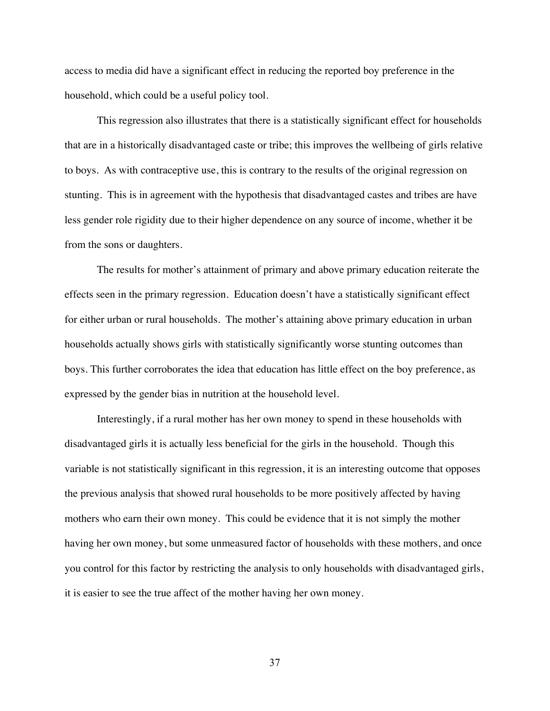access to media did have a significant effect in reducing the reported boy preference in the household, which could be a useful policy tool.

This regression also illustrates that there is a statistically significant effect for households that are in a historically disadvantaged caste or tribe; this improves the wellbeing of girls relative to boys. As with contraceptive use, this is contrary to the results of the original regression on stunting. This is in agreement with the hypothesis that disadvantaged castes and tribes are have less gender role rigidity due to their higher dependence on any source of income, whether it be from the sons or daughters.

The results for mother's attainment of primary and above primary education reiterate the effects seen in the primary regression. Education doesn't have a statistically significant effect for either urban or rural households. The mother's attaining above primary education in urban households actually shows girls with statistically significantly worse stunting outcomes than boys. This further corroborates the idea that education has little effect on the boy preference, as expressed by the gender bias in nutrition at the household level.

Interestingly, if a rural mother has her own money to spend in these households with disadvantaged girls it is actually less beneficial for the girls in the household. Though this variable is not statistically significant in this regression, it is an interesting outcome that opposes the previous analysis that showed rural households to be more positively affected by having mothers who earn their own money. This could be evidence that it is not simply the mother having her own money, but some unmeasured factor of households with these mothers, and once you control for this factor by restricting the analysis to only households with disadvantaged girls, it is easier to see the true affect of the mother having her own money.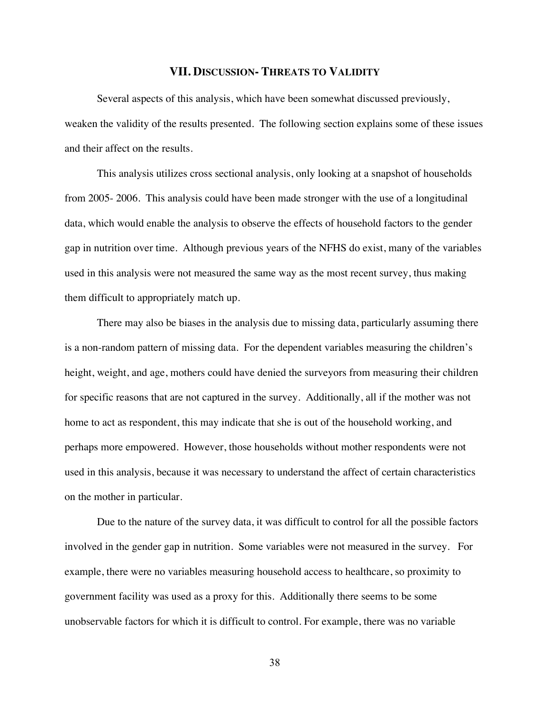#### **VII. DISCUSSION- THREATS TO VALIDITY**

Several aspects of this analysis, which have been somewhat discussed previously, weaken the validity of the results presented. The following section explains some of these issues and their affect on the results.

This analysis utilizes cross sectional analysis, only looking at a snapshot of households from 2005- 2006. This analysis could have been made stronger with the use of a longitudinal data, which would enable the analysis to observe the effects of household factors to the gender gap in nutrition over time. Although previous years of the NFHS do exist, many of the variables used in this analysis were not measured the same way as the most recent survey, thus making them difficult to appropriately match up.

There may also be biases in the analysis due to missing data, particularly assuming there is a non-random pattern of missing data. For the dependent variables measuring the children's height, weight, and age, mothers could have denied the surveyors from measuring their children for specific reasons that are not captured in the survey. Additionally, all if the mother was not home to act as respondent, this may indicate that she is out of the household working, and perhaps more empowered. However, those households without mother respondents were not used in this analysis, because it was necessary to understand the affect of certain characteristics on the mother in particular.

Due to the nature of the survey data, it was difficult to control for all the possible factors involved in the gender gap in nutrition. Some variables were not measured in the survey. For example, there were no variables measuring household access to healthcare, so proximity to government facility was used as a proxy for this. Additionally there seems to be some unobservable factors for which it is difficult to control. For example, there was no variable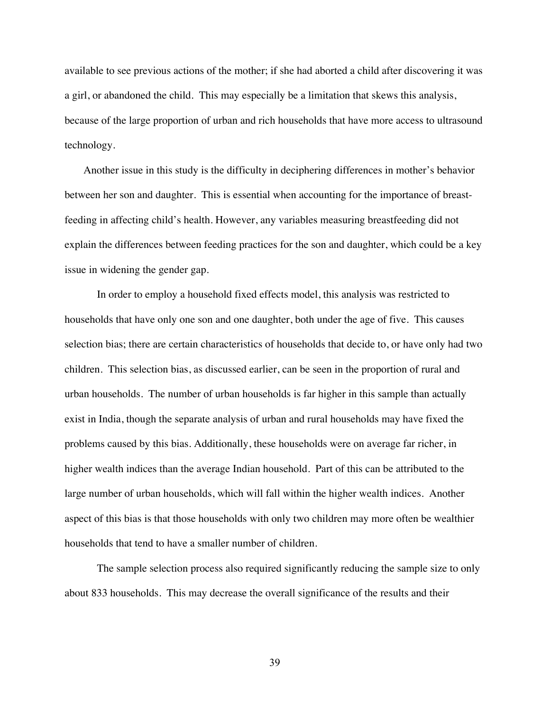available to see previous actions of the mother; if she had aborted a child after discovering it was a girl, or abandoned the child. This may especially be a limitation that skews this analysis, because of the large proportion of urban and rich households that have more access to ultrasound technology.

 Another issue in this study is the difficulty in deciphering differences in mother's behavior between her son and daughter. This is essential when accounting for the importance of breastfeeding in affecting child's health. However, any variables measuring breastfeeding did not explain the differences between feeding practices for the son and daughter, which could be a key issue in widening the gender gap.

In order to employ a household fixed effects model, this analysis was restricted to households that have only one son and one daughter, both under the age of five. This causes selection bias; there are certain characteristics of households that decide to, or have only had two children. This selection bias, as discussed earlier, can be seen in the proportion of rural and urban households. The number of urban households is far higher in this sample than actually exist in India, though the separate analysis of urban and rural households may have fixed the problems caused by this bias. Additionally, these households were on average far richer, in higher wealth indices than the average Indian household. Part of this can be attributed to the large number of urban households, which will fall within the higher wealth indices. Another aspect of this bias is that those households with only two children may more often be wealthier households that tend to have a smaller number of children.

The sample selection process also required significantly reducing the sample size to only about 833 households. This may decrease the overall significance of the results and their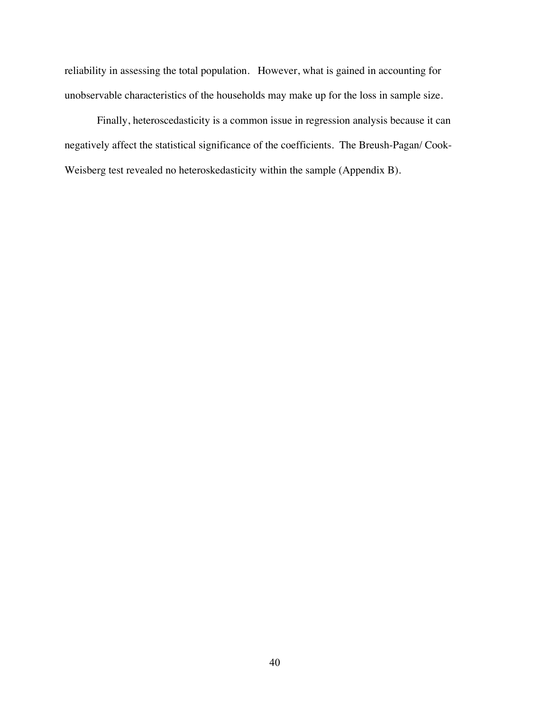reliability in assessing the total population. However, what is gained in accounting for unobservable characteristics of the households may make up for the loss in sample size.

Finally, heteroscedasticity is a common issue in regression analysis because it can negatively affect the statistical significance of the coefficients. The Breush-Pagan/ Cook-Weisberg test revealed no heteroskedasticity within the sample (Appendix B).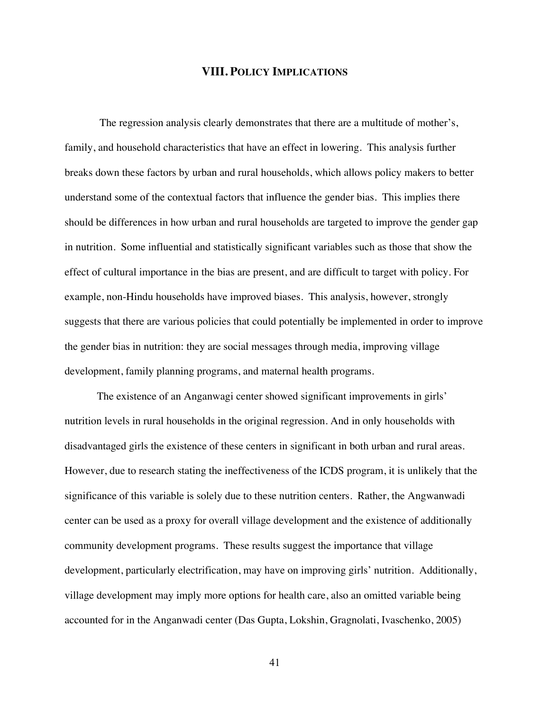### **VIII. POLICY IMPLICATIONS**

 The regression analysis clearly demonstrates that there are a multitude of mother's, family, and household characteristics that have an effect in lowering. This analysis further breaks down these factors by urban and rural households, which allows policy makers to better understand some of the contextual factors that influence the gender bias. This implies there should be differences in how urban and rural households are targeted to improve the gender gap in nutrition. Some influential and statistically significant variables such as those that show the effect of cultural importance in the bias are present, and are difficult to target with policy. For example, non-Hindu households have improved biases. This analysis, however, strongly suggests that there are various policies that could potentially be implemented in order to improve the gender bias in nutrition: they are social messages through media, improving village development, family planning programs, and maternal health programs.

The existence of an Anganwagi center showed significant improvements in girls' nutrition levels in rural households in the original regression. And in only households with disadvantaged girls the existence of these centers in significant in both urban and rural areas. However, due to research stating the ineffectiveness of the ICDS program, it is unlikely that the significance of this variable is solely due to these nutrition centers. Rather, the Angwanwadi center can be used as a proxy for overall village development and the existence of additionally community development programs. These results suggest the importance that village development, particularly electrification, may have on improving girls' nutrition. Additionally, village development may imply more options for health care, also an omitted variable being accounted for in the Anganwadi center (Das Gupta, Lokshin, Gragnolati, Ivaschenko, 2005)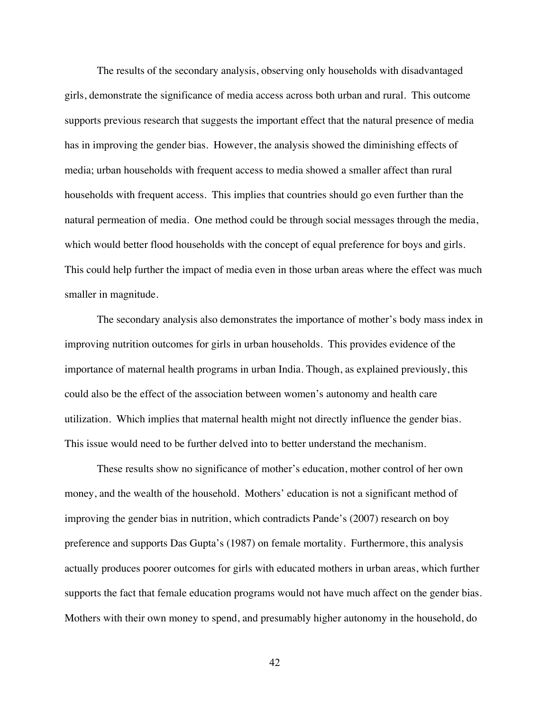The results of the secondary analysis, observing only households with disadvantaged girls, demonstrate the significance of media access across both urban and rural. This outcome supports previous research that suggests the important effect that the natural presence of media has in improving the gender bias. However, the analysis showed the diminishing effects of media; urban households with frequent access to media showed a smaller affect than rural households with frequent access. This implies that countries should go even further than the natural permeation of media. One method could be through social messages through the media, which would better flood households with the concept of equal preference for boys and girls. This could help further the impact of media even in those urban areas where the effect was much smaller in magnitude.

The secondary analysis also demonstrates the importance of mother's body mass index in improving nutrition outcomes for girls in urban households. This provides evidence of the importance of maternal health programs in urban India. Though, as explained previously, this could also be the effect of the association between women's autonomy and health care utilization. Which implies that maternal health might not directly influence the gender bias. This issue would need to be further delved into to better understand the mechanism.

These results show no significance of mother's education, mother control of her own money, and the wealth of the household. Mothers' education is not a significant method of improving the gender bias in nutrition, which contradicts Pande's (2007) research on boy preference and supports Das Gupta's (1987) on female mortality. Furthermore, this analysis actually produces poorer outcomes for girls with educated mothers in urban areas, which further supports the fact that female education programs would not have much affect on the gender bias. Mothers with their own money to spend, and presumably higher autonomy in the household, do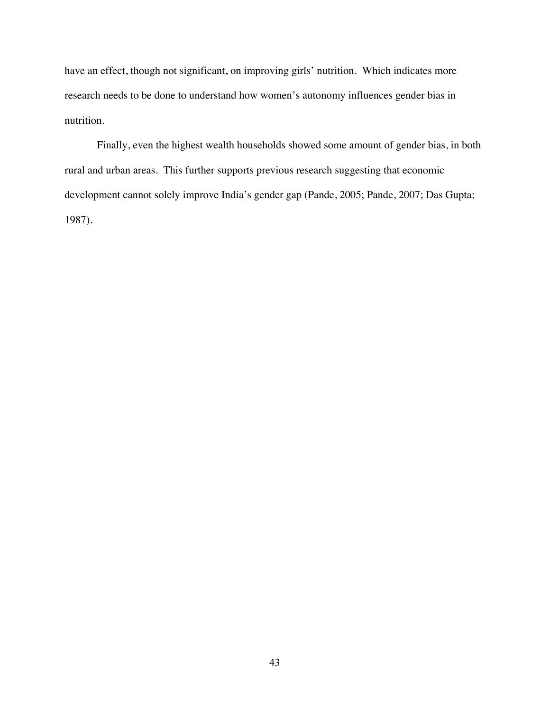have an effect, though not significant, on improving girls' nutrition. Which indicates more research needs to be done to understand how women's autonomy influences gender bias in nutrition.

Finally, even the highest wealth households showed some amount of gender bias, in both rural and urban areas. This further supports previous research suggesting that economic development cannot solely improve India's gender gap (Pande, 2005; Pande, 2007; Das Gupta; 1987).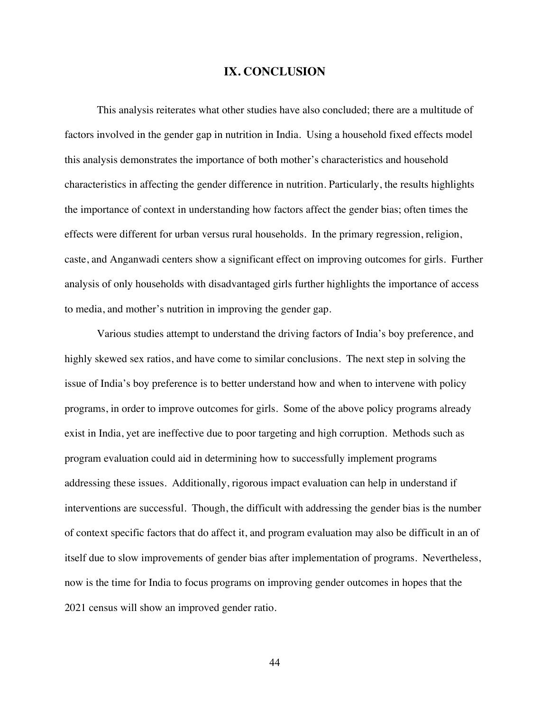### **IX. CONCLUSION**

This analysis reiterates what other studies have also concluded; there are a multitude of factors involved in the gender gap in nutrition in India. Using a household fixed effects model this analysis demonstrates the importance of both mother's characteristics and household characteristics in affecting the gender difference in nutrition. Particularly, the results highlights the importance of context in understanding how factors affect the gender bias; often times the effects were different for urban versus rural households. In the primary regression, religion, caste, and Anganwadi centers show a significant effect on improving outcomes for girls. Further analysis of only households with disadvantaged girls further highlights the importance of access to media, and mother's nutrition in improving the gender gap.

Various studies attempt to understand the driving factors of India's boy preference, and highly skewed sex ratios, and have come to similar conclusions. The next step in solving the issue of India's boy preference is to better understand how and when to intervene with policy programs, in order to improve outcomes for girls. Some of the above policy programs already exist in India, yet are ineffective due to poor targeting and high corruption. Methods such as program evaluation could aid in determining how to successfully implement programs addressing these issues. Additionally, rigorous impact evaluation can help in understand if interventions are successful. Though, the difficult with addressing the gender bias is the number of context specific factors that do affect it, and program evaluation may also be difficult in an of itself due to slow improvements of gender bias after implementation of programs. Nevertheless, now is the time for India to focus programs on improving gender outcomes in hopes that the 2021 census will show an improved gender ratio.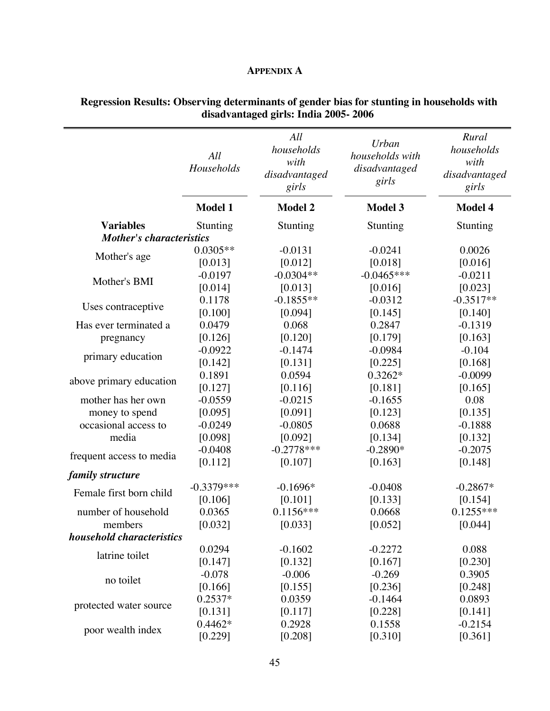## **APPENDIX A**

|                                 | All<br>Households | All<br>households<br>with<br>disadvantaged<br>girls | <b>Urban</b><br>households with<br>disadvantaged<br>girls | Rural<br>households<br>with<br>disadvantaged<br>girls |  |
|---------------------------------|-------------------|-----------------------------------------------------|-----------------------------------------------------------|-------------------------------------------------------|--|
|                                 | <b>Model 1</b>    | <b>Model 2</b>                                      | <b>Model 3</b>                                            | Model 4                                               |  |
| <b>Variables</b>                | Stunting          | Stunting                                            | Stunting                                                  | Stunting                                              |  |
| <b>Mother's characteristics</b> |                   |                                                     |                                                           |                                                       |  |
|                                 | $0.0305**$        | $-0.0131$                                           | $-0.0241$                                                 | 0.0026                                                |  |
| Mother's age                    | [0.013]           | [0.012]                                             | [0.018]                                                   | [0.016]                                               |  |
|                                 | $-0.0197$         | $-0.0304**$                                         | $-0.0465***$                                              | $-0.0211$                                             |  |
| Mother's BMI                    | [0.014]           | [0.013]                                             | [0.016]                                                   | [0.023]                                               |  |
|                                 | 0.1178            | $-0.1855**$                                         | $-0.0312$                                                 | $-0.3517**$                                           |  |
| Uses contraceptive              | [0.100]           | [0.094]                                             | [0.145]                                                   | [0.140]                                               |  |
| Has ever terminated a           | 0.0479            | 0.068                                               | 0.2847                                                    | $-0.1319$                                             |  |
| pregnancy                       | [0.126]           | [0.120]                                             | [0.179]                                                   | [0.163]                                               |  |
|                                 | $-0.0922$         | $-0.1474$                                           | $-0.0984$                                                 | $-0.104$                                              |  |
| primary education               | [0.142]           | [0.131]                                             | [0.225]                                                   | [0.168]                                               |  |
|                                 | 0.1891            | 0.0594                                              | $0.3262*$                                                 | $-0.0099$                                             |  |
| above primary education         | [0.127]           | [0.116]                                             | [0.181]                                                   | [0.165]                                               |  |
| mother has her own              | $-0.0559$         | $-0.0215$                                           | $-0.1655$                                                 | 0.08                                                  |  |
| money to spend                  | [0.095]           | [0.091]                                             | [0.123]                                                   | [0.135]                                               |  |
| occasional access to            | $-0.0249$         | $-0.0805$                                           | 0.0688                                                    | $-0.1888$                                             |  |
| media                           | [0.098]           | [0.092]                                             | [0.134]                                                   | [0.132]                                               |  |
| frequent access to media        | $-0.0408$         | $-0.2778***$                                        | $-0.2890*$                                                | $-0.2075$                                             |  |
|                                 | [0.112]           | [0.107]                                             | [0.163]                                                   | [0.148]                                               |  |
| family structure                |                   |                                                     |                                                           |                                                       |  |
| Female first born child         | $-0.3379***$      | $-0.1696*$                                          | $-0.0408$                                                 | $-0.2867*$                                            |  |
|                                 | [0.106]           | [0.101]                                             | [0.133]                                                   | [0.154]                                               |  |
| number of household             | 0.0365            | $0.1156***$                                         | 0.0668                                                    | $0.1255***$                                           |  |
| members                         | [0.032]           | [0.033]                                             | [0.052]                                                   | [0.044]                                               |  |
| household characteristics       |                   |                                                     |                                                           |                                                       |  |
| latrine toilet                  | 0.0294            | $-0.1602$                                           | $-0.2272$                                                 | 0.088                                                 |  |
|                                 | [0.147]           | [0.132]                                             | [0.167]                                                   | [0.230]                                               |  |
| no toilet                       | $-0.078$          | $-0.006$                                            | $-0.269$                                                  | 0.3905                                                |  |
|                                 | [0.166]           | [0.155]                                             | [0.236]                                                   | [0.248]                                               |  |
| protected water source          | $0.2537*$         | 0.0359                                              | $-0.1464$                                                 | 0.0893                                                |  |
|                                 | [0.131]           | [0.117]                                             | [0.228]                                                   | [0.141]                                               |  |
| poor wealth index               | $0.4462*$         | 0.2928                                              | 0.1558                                                    | $-0.2154$                                             |  |
|                                 | [0.229]           | [0.208]                                             | [0.310]                                                   | [0.361]                                               |  |

# **Regression Results: Observing determinants of gender bias for stunting in households with disadvantaged girls: India 2005- 2006**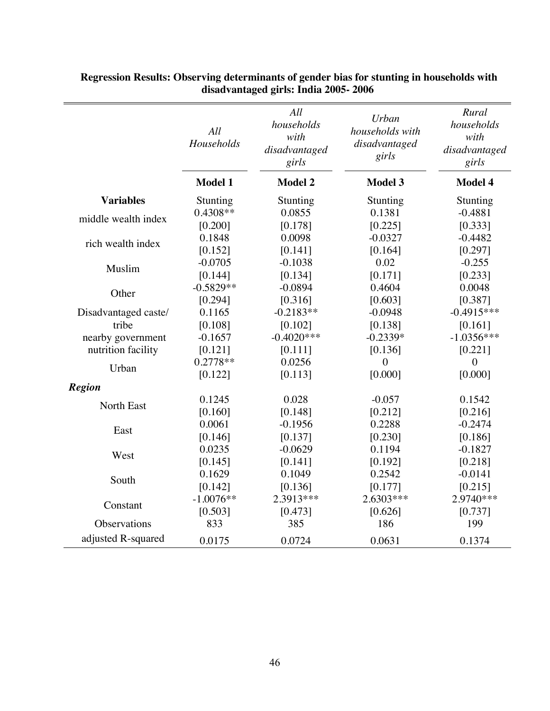|                      | All<br>Households | All<br>households<br>with<br>disadvantaged<br>girls | Urban<br>households with<br>disadvantaged<br>girls | Rural<br>households<br>with<br>disadvantaged<br>girls |
|----------------------|-------------------|-----------------------------------------------------|----------------------------------------------------|-------------------------------------------------------|
|                      | <b>Model 1</b>    | <b>Model 2</b>                                      | <b>Model 3</b>                                     | <b>Model 4</b>                                        |
| <b>Variables</b>     | Stunting          | Stunting                                            | Stunting                                           | Stunting                                              |
| middle wealth index  | 0.4308**          | 0.0855                                              | 0.1381                                             | $-0.4881$                                             |
|                      | [0.200]           | [0.178]                                             | [0.225]                                            | [0.333]                                               |
| rich wealth index    | 0.1848            | 0.0098                                              | $-0.0327$                                          | $-0.4482$                                             |
|                      | [0.152]           | [0.141]                                             | [0.164]                                            | [0.297]                                               |
| Muslim               | $-0.0705$         | $-0.1038$                                           | 0.02                                               | $-0.255$                                              |
|                      | [0.144]           | [0.134]                                             | [0.171]                                            | [0.233]                                               |
| Other                | $-0.5829**$       | $-0.0894$                                           | 0.4604                                             | 0.0048                                                |
|                      | [0.294]           | [0.316]                                             | [0.603]                                            | [0.387]                                               |
| Disadvantaged caste/ | 0.1165            | $-0.2183**$                                         | $-0.0948$                                          | $-0.4915***$                                          |
| tribe                | [0.108]           | [0.102]                                             | [0.138]                                            | [0.161]                                               |
| nearby government    | $-0.1657$         | $-0.4020***$                                        | $-0.2339*$                                         | $-1.0356***$                                          |
| nutrition facility   | [0.121]           | [0.111]                                             | [0.136]                                            | [0.221]                                               |
| Urban                | $0.2778**$        | 0.0256                                              | $\overline{0}$                                     | $\boldsymbol{0}$                                      |
|                      | [0.122]           | [0.113]                                             | [0.000]                                            | [0.000]                                               |
| <b>Region</b>        |                   |                                                     |                                                    |                                                       |
| North East           | 0.1245            | 0.028                                               | $-0.057$                                           | 0.1542                                                |
|                      | [0.160]           | [0.148]                                             | [0.212]                                            | [0.216]                                               |
| East                 | 0.0061            | $-0.1956$                                           | 0.2288                                             | $-0.2474$                                             |
|                      | [0.146]           | [0.137]                                             | [0.230]                                            | [0.186]                                               |
| West                 | 0.0235            | $-0.0629$                                           | 0.1194                                             | $-0.1827$                                             |
|                      | [0.145]           | [0.141]                                             | [0.192]                                            | [0.218]                                               |
|                      | 0.1629            | 0.1049                                              | 0.2542                                             | $-0.0141$                                             |
| South                | [0.142]           | [0.136]                                             | [0.177]                                            | [0.215]                                               |
| Constant             | $-1.0076**$       | 2.3913***                                           | 2.6303***                                          | 2.9740***                                             |
|                      | [0.503]           | [0.473]                                             | [0.626]                                            | [0.737]                                               |
| Observations         | 833               | 385                                                 | 186                                                | 199                                                   |
| adjusted R-squared   | 0.0175            | 0.0724                                              | 0.0631                                             | 0.1374                                                |

 **Regression Results: Observing determinants of gender bias for stunting in households with disadvantaged girls: India 2005- 2006**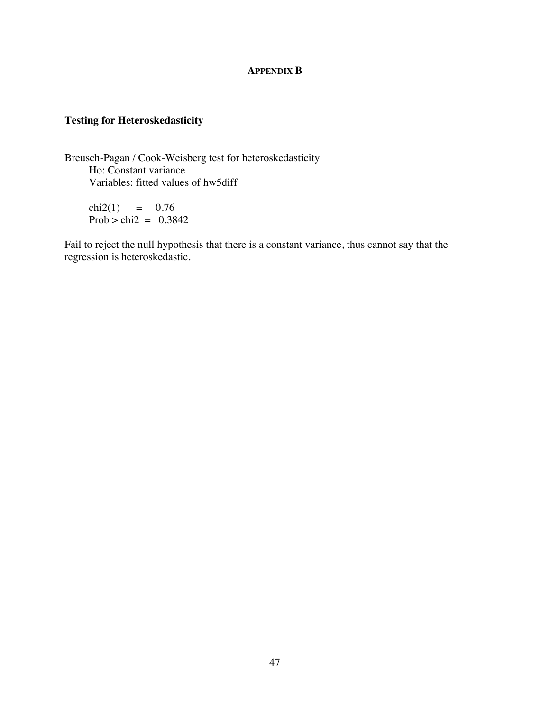### **APPENDIX B**

# **Testing for Heteroskedasticity**

Breusch-Pagan / Cook-Weisberg test for heteroskedasticity Ho: Constant variance Variables: fitted values of hw5diff

 $chi2(1) = 0.76$ Prob > chi2 =  $0.3842$ 

Fail to reject the null hypothesis that there is a constant variance, thus cannot say that the regression is heteroskedastic.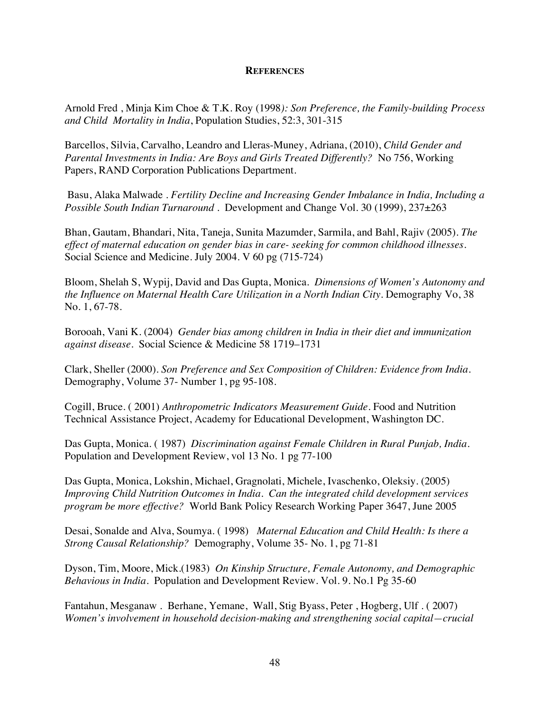### **REFERENCES**

Arnold Fred , Minja Kim Choe & T.K. Roy (1998*): Son Preference, the Family-building Process and Child Mortality in India*, Population Studies, 52:3, 301-315

Barcellos, Silvia, Carvalho, Leandro and Lleras-Muney, Adriana, (2010), *Child Gender and Parental Investments in India: Are Boys and Girls Treated Differently?* No 756, Working Papers, RAND Corporation Publications Department.

 Basu, Alaka Malwade . *Fertility Decline and Increasing Gender Imbalance in India, Including a Possible South Indian Turnaround* . Development and Change Vol. 30 (1999), 237±263

Bhan, Gautam, Bhandari, Nita, Taneja, Sunita Mazumder, Sarmila, and Bahl, Rajiv (2005). *The effect of maternal education on gender bias in care- seeking for common childhood illnesses.*  Social Science and Medicine. July 2004. V 60 pg (715-724)

Bloom, Shelah S, Wypij, David and Das Gupta, Monica. *Dimensions of Women's Autonomy and*  the Influence on Maternal Health Care Utilization in a North Indian City. Demography Vo, 38 No. 1, 67-78.

Borooah, Vani K. (2004) *Gender bias among children in India in their diet and immunization against disease.* Social Science & Medicine 58 1719–1731

Clark, Sheller (2000). *Son Preference and Sex Composition of Children: Evidence from India.* Demography, Volume 37- Number 1, pg 95-108.

Cogill, Bruce. ( 2001) *Anthropometric Indicators Measurement Guide*. Food and Nutrition Technical Assistance Project, Academy for Educational Development, Washington DC.

Das Gupta, Monica. ( 1987) *Discrimination against Female Children in Rural Punjab, India.*  Population and Development Review, vol 13 No. 1 pg 77-100

Das Gupta, Monica, Lokshin, Michael, Gragnolati, Michele, Ivaschenko, Oleksiy. (2005) *Improving Child Nutrition Outcomes in India. Can the integrated child development services program be more effective?* World Bank Policy Research Working Paper 3647, June 2005

Desai, Sonalde and Alva, Soumya. ( 1998) *Maternal Education and Child Health: Is there a Strong Causal Relationship?* Demography, Volume 35- No. 1, pg 71-81

Dyson, Tim, Moore, Mick.(1983) *On Kinship Structure, Female Autonomy, and Demographic Behavious in India.* Population and Development Review. Vol. 9. No.1 Pg 35-60

Fantahun, Mesganaw . Berhane, Yemane, Wall, Stig Byass, Peter , Hogberg, Ulf . ( 2007) *Women's involvement in household decision-making and strengthening social capital—crucial*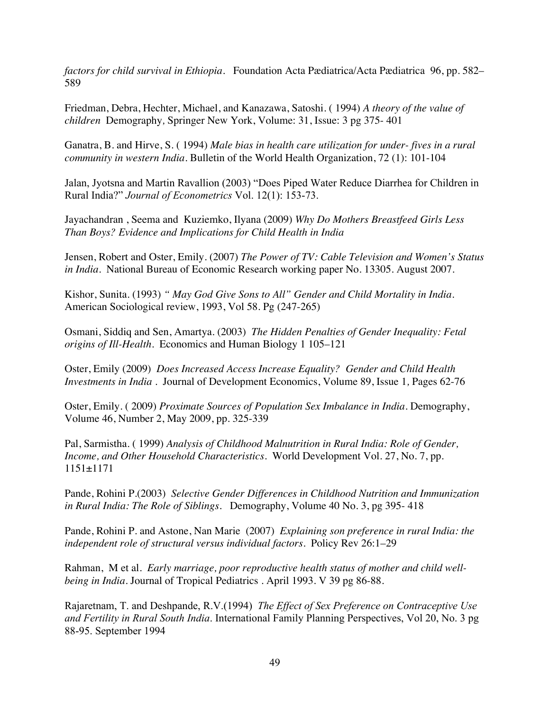*factors for child survival in Ethiopia.* Foundation Acta Pædiatrica/Acta Pædiatrica 96, pp. 582– 589

Friedman, Debra, Hechter, Michael, and Kanazawa, Satoshi. ( 1994) *A theory of the value of children* Demography*,* Springer New York, Volume: 31, Issue: 3 pg 375- 401

Ganatra, B. and Hirve, S. ( 1994) *Male bias in health care utilization for under- fives in a rural community in western India.* Bulletin of the World Health Organization, 72 (1): 101-104

Jalan, Jyotsna and Martin Ravallion (2003) "Does Piped Water Reduce Diarrhea for Children in Rural India?" *Journal of Econometrics* Vol. 12(1): 153-73.

Jayachandran , Seema and Kuziemko, Ilyana (2009) *Why Do Mothers Breastfeed Girls Less Than Boys? Evidence and Implications for Child Health in India*

Jensen, Robert and Oster, Emily. (2007) *The Power of TV: Cable Television and Women's Status in India*. National Bureau of Economic Research working paper No. 13305. August 2007.

Kishor, Sunita. (1993) *" May God Give Sons to All" Gender and Child Mortality in India*. American Sociological review, 1993, Vol 58. Pg (247-265)

Osmani, Siddiq and Sen, Amartya. (2003) *The Hidden Penalties of Gender Inequality: Fetal origins of Ill-Health*. Economics and Human Biology 1 105–121

Oster, Emily (2009) *Does Increased Access Increase Equality? Gender and Child Health Investments in India* . Journal of Development Economics, Volume 89, Issue 1*,* Pages 62-76

Oster, Emily. ( 2009) *Proximate Sources of Population Sex Imbalance in India*. Demography, Volume 46, Number 2, May 2009, pp. 325-339

Pal, Sarmistha. ( 1999) *Analysis of Childhood Malnutrition in Rural India: Role of Gender, Income, and Other Household Characteristics*. World Development Vol. 27, No. 7, pp. 1151±1171

Pande, Rohini P.(2003) *Selective Gender Differences in Childhood Nutrition and Immunization in Rural India: The Role of Siblings.* Demography, Volume 40 No. 3, pg 395- 418

Pande, Rohini P. and Astone, Nan Marie (2007) *Explaining son preference in rural India: the independent role of structural versus individual factors.* Policy Rev 26:1–29

Rahman, M et al. *Early marriage, poor reproductive health status of mother and child wellbeing in India*. Journal of Tropical Pediatrics . April 1993. V 39 pg 86-88.

Rajaretnam, T. and Deshpande, R.V.(1994) *The Effect of Sex Preference on Contraceptive Use and Fertility in Rural South India*. International Family Planning Perspectives, Vol 20, No. 3 pg 88-95. September 1994